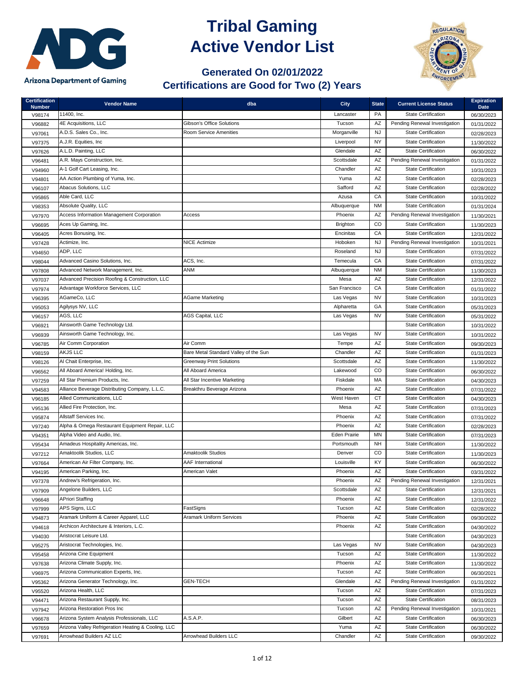

## **Tribal Gaming Active Vendor List**



## **Generated On 02/01/2022 Certifications are Good for Two (2) Years**

| <b>Certification</b><br><b>Number</b> | <b>Vendor Name</b>                                  | dba                                   | <b>City</b>         | <b>State</b> | <b>Current License Status</b> | <b>Expiration</b><br><b>Date</b> |
|---------------------------------------|-----------------------------------------------------|---------------------------------------|---------------------|--------------|-------------------------------|----------------------------------|
| V98174                                | 11400, Inc.                                         |                                       | Lancaster           | PA           | <b>State Certification</b>    | 06/30/2023                       |
| V96882                                | 4E Acquisitions, LLC                                | <b>Gibson's Office Solutions</b>      | Tucson              | AZ           | Pending Renewal Investigation | 01/31/2022                       |
| V97061                                | A.D.S. Sales Co., Inc.                              | <b>Room Service Amenities</b>         | Morganville         | NJ           | <b>State Certification</b>    | 02/28/2023                       |
| V97375                                | A.J.R. Equities, Inc.                               |                                       | Liverpool           | <b>NY</b>    | <b>State Certification</b>    | 11/30/2022                       |
| V97626                                | A.L.D. Painting, LLC                                |                                       | Glendale            | AZ           | <b>State Certification</b>    | 06/30/2022                       |
| V96481                                | A.R. Mays Construction, Inc.                        |                                       | Scottsdale          | AZ           | Pending Renewal Investigation | 01/31/2022                       |
| V94960                                | A-1 Golf Cart Leasing, Inc.                         |                                       | Chandler            | AZ           | <b>State Certification</b>    | 10/31/2023                       |
| V94801                                | AA Action Plumbing of Yuma, Inc.                    |                                       | Yuma                | AZ           | <b>State Certification</b>    | 02/28/2023                       |
| V96107                                | Abacus Solutions, LLC                               |                                       | Safford             | AZ           | <b>State Certification</b>    | 02/28/2022                       |
| V95865                                | Able Card, LLC                                      |                                       | Azusa               | CA           | <b>State Certification</b>    | 10/31/2022                       |
| V98353                                | Absolute Quality, LLC                               |                                       | Albuquerque         | <b>NM</b>    | <b>State Certification</b>    | 01/31/2024                       |
| V97970                                | Access Information Management Corporation           | Access                                | Phoenix             | AZ           | Pending Renewal Investigation | 11/30/2021                       |
| V96695                                | Aces Up Gaming, Inc.                                |                                       | <b>Brighton</b>     | CO           | <b>State Certification</b>    | 11/30/2023                       |
| V96405                                | Acres Bonusing, Inc.                                |                                       | Encinitas           | CA           | <b>State Certification</b>    | 12/31/2022                       |
| V97428                                | Actimize, Inc.                                      | <b>NICE Actimize</b>                  | Hoboken             | <b>NJ</b>    | Pending Renewal Investigation | 10/31/2021                       |
| V94650                                | ADP, LLC                                            |                                       | Roseland            | <b>NJ</b>    | <b>State Certification</b>    | 07/31/2022                       |
| V98044                                | Advanced Casino Solutions, Inc.                     | ACS, Inc.                             | Temecula            | CA           | <b>State Certification</b>    | 07/31/2022                       |
| V97808                                | Advanced Network Management, Inc.                   | ANM                                   | Albuquerque         | <b>NM</b>    | <b>State Certification</b>    | 11/30/2023                       |
| V97037                                | Advanced Precision Roofing & Construction, LLC      |                                       | Mesa                | AZ           | <b>State Certification</b>    | 12/31/2022                       |
| V97974                                | Advantage Workforce Services, LLC                   |                                       | San Francisco       | CA           | <b>State Certification</b>    | 01/31/2022                       |
| V96395                                | AGameCo, LLC                                        | <b>AGame Marketing</b>                | Las Vegas           | <b>NV</b>    | <b>State Certification</b>    | 10/31/2023                       |
| V95053                                | Agilysys NV, LLC                                    |                                       | Alpharetta          | GA           | <b>State Certification</b>    | 05/31/2023                       |
| V96157                                | AGS, LLC                                            | <b>AGS Capital, LLC</b>               | Las Vegas           | <b>NV</b>    | <b>State Certification</b>    | 05/31/2022                       |
| V96921                                | Ainsworth Game Technology Ltd.                      |                                       |                     |              | <b>State Certification</b>    | 10/31/2022                       |
| V96939                                | Ainsworth Game Technology, Inc.                     |                                       | Las Vegas           | <b>NV</b>    | <b>State Certification</b>    | 10/31/2022                       |
| V96785                                | Air Comm Corporation                                | Air Comm                              | Tempe               | AZ           | <b>State Certification</b>    | 09/30/2023                       |
| V98159                                | <b>AKJS LLC</b>                                     | Bare Metal Standard Valley of the Sun | Chandler            | AΖ           | <b>State Certification</b>    | 01/31/2023                       |
| V98126                                | Al Chait Enterprise, Inc.                           | <b>Greenway Print Solutions</b>       | Scottsdale          | AZ           | <b>State Certification</b>    | 11/30/2022                       |
| V96562                                | All Aboard America! Holding, Inc.                   | All Aboard America                    | Lakewood            | CO           | <b>State Certification</b>    | 06/30/2022                       |
| V97259                                | All Star Premium Products, Inc.                     | All Star Incentive Marketing          | Fiskdale            | <b>MA</b>    | <b>State Certification</b>    | 04/30/2023                       |
| V94583                                | Alliance Beverage Distributing Company, L.L.C.      | Breakthru Beverage Arizona            | Phoenix             | AZ           | <b>State Certification</b>    | 07/31/2022                       |
| V96185                                | Allied Communications, LLC                          |                                       | West Haven          | CT.          | <b>State Certification</b>    | 04/30/2023                       |
| V95136                                | Allied Fire Protection, Inc.                        |                                       | Mesa                | AZ           | <b>State Certification</b>    | 07/31/2023                       |
| V95874                                | Allstaff Services Inc.                              |                                       | Phoenix             | AZ           | <b>State Certification</b>    | 07/31/2022                       |
| V97240                                | Alpha & Omega Restaurant Equipment Repair, LLC      |                                       | Phoenix             | AZ           | <b>State Certification</b>    | 02/28/2023                       |
| V94351                                | Alpha Video and Audio, Inc.                         |                                       | <b>Eden Prairie</b> | MN           | <b>State Certification</b>    | 07/31/2023                       |
| V95434                                | Amadeus Hospitality Americas, Inc.                  |                                       | Portsmouth          | <b>NH</b>    | <b>State Certification</b>    | 11/30/2022                       |
| V97212                                | Amaktoolik Studios, LLC                             | Amaktoolik Studios                    | Denver              | CO           | <b>State Certification</b>    | 11/30/2023                       |
| V97664                                | American Air Filter Company, Inc.                   | <b>AAF International</b>              | Louisville          | KY           | <b>State Certification</b>    | 06/30/2022                       |
| V94195                                | American Parking, Inc.                              | American Valet                        | Phoenix             | AZ           | <b>State Certification</b>    | 03/31/2022                       |
| V97378                                | Andrew's Refrigeration, Inc.                        |                                       | Phoenix             | AZ           | Pending Renewal Investigation | 12/31/2021                       |
| V97909                                | Angelone Builders, LLC                              |                                       | Scottsdale          | AZ           | <b>State Certification</b>    | 12/31/2021                       |
| V96648                                | <b>APriori Staffing</b>                             |                                       | Phoenix             | AZ           | <b>State Certification</b>    | 12/31/2022                       |
| V97999                                | APS Signs, LLC                                      | FastSigns                             | Tucson              | AZ           | <b>State Certification</b>    | 02/28/2022                       |
| V94873                                | Aramark Uniform & Career Apparel, LLC               | <b>Aramark Uniform Services</b>       | Phoenix             | AZ           | <b>State Certification</b>    | 09/30/2022                       |
| V94618                                | Archicon Architecture & Interiors, L.C.             |                                       | Phoenix             | AZ           | <b>State Certification</b>    | 04/30/2022                       |
| V94030                                | Aristocrat Leisure Ltd.                             |                                       |                     |              | <b>State Certification</b>    | 04/30/2023                       |
| V95275                                | Aristocrat Technologies, Inc.                       |                                       | Las Vegas           | <b>NV</b>    | <b>State Certification</b>    | 04/30/2023                       |
| V95458                                | Arizona Cine Equipment                              |                                       | Tucson              | AZ           | <b>State Certification</b>    | 11/30/2022                       |
| V97638                                | Arizona Climate Supply, Inc.                        |                                       | Phoenix             | AZ           | <b>State Certification</b>    | 11/30/2022                       |
| V96975                                | Arizona Communication Experts, Inc.                 |                                       | Tucson              | AZ           | <b>State Certification</b>    | 06/30/2021                       |
| V95362                                | Arizona Generator Technology, Inc.                  | <b>GEN-TECH</b>                       | Glendale            | AZ           | Pending Renewal Investigation | 01/31/2022                       |
| V95520                                | Arizona Health, LLC                                 |                                       | Tucson              | AZ           | <b>State Certification</b>    | 07/31/2023                       |
| V94471                                | Arizona Restaurant Supply, Inc.                     |                                       | Tucson              | AZ           | <b>State Certification</b>    | 08/31/2023                       |
| V97942                                | Arizona Restoration Pros Inc                        |                                       | Tucson              | AZ           | Pending Renewal Investigation | 10/31/2021                       |
| V96678                                | Arizona System Analysis Professionals, LLC          | A.S.A.P.                              | Gilbert             | AZ           | <b>State Certification</b>    | 06/30/2023                       |
| V97659                                | Arizona Valley Refrigeration Heating & Cooling, LLC |                                       | Yuma                | AZ           | <b>State Certification</b>    | 06/30/2022                       |
| V97691                                | Arrowhead Builders AZ LLC                           | Arrowhead Builders LLC                | Chandler            | AZ           | <b>State Certification</b>    | 09/30/2022                       |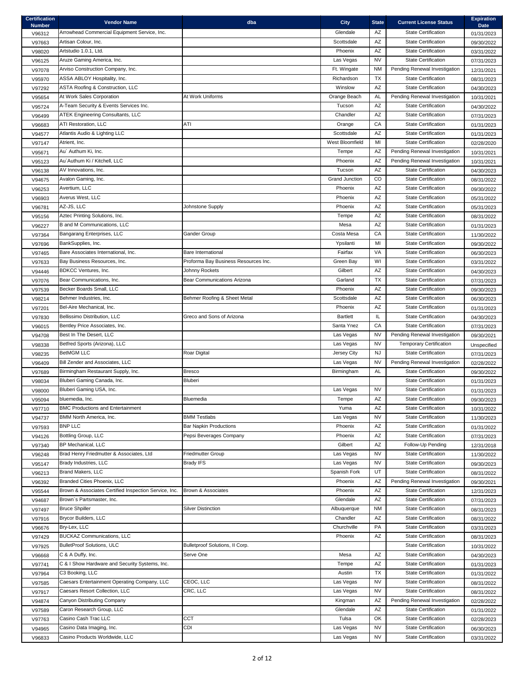| <b>Certification</b><br><b>Number</b> | <b>Vendor Name</b>                                    | dba                                  | <b>City</b>           | <b>State</b> | <b>Current License Status</b>  | <b>Expiration</b><br><b>Date</b> |
|---------------------------------------|-------------------------------------------------------|--------------------------------------|-----------------------|--------------|--------------------------------|----------------------------------|
| V96312                                | Arrowhead Commercial Equipment Service, Inc.          |                                      | Glendale              | AZ           | <b>State Certification</b>     | 01/31/2023                       |
| V97663                                | Artisan Colour, Inc.                                  |                                      | Scottsdale            | AZ           | <b>State Certification</b>     | 09/30/2022                       |
| V98020                                | Artstudio 1.0.1, Ltd.                                 |                                      | Phoenix               | AZ           | <b>State Certification</b>     | 03/31/2022                       |
| V96125                                | Aruze Gaming America, Inc.                            |                                      | Las Vegas             | <b>NV</b>    | <b>State Certification</b>     | 07/31/2023                       |
| V97078                                | Arviso Construction Company, Inc.                     |                                      | Ft. Wingate           | <b>NM</b>    | Pending Renewal Investigation  | 12/31/2021                       |
| V95970                                | ASSA ABLOY Hospitality, Inc.                          |                                      | Richardson            | <b>TX</b>    | <b>State Certification</b>     | 08/31/2023                       |
| V97292                                | <b>ASTA Roofing &amp; Construction, LLC</b>           |                                      | Winslow               | AZ           | <b>State Certification</b>     | 04/30/2023                       |
| V95654                                | At Work Sales Corporation                             | At Work Uniforms                     | Orange Beach          | AL           | Pending Renewal Investigation  | 10/31/2021                       |
| V95724                                | A-Team Security & Events Services Inc.                |                                      | Tucson                | AZ           | <b>State Certification</b>     | 04/30/2022                       |
| V96499                                | <b>ATEK Engineering Consultants, LLC</b>              |                                      | Chandler              | AZ           | <b>State Certification</b>     | 07/31/2023                       |
| V96683                                | ATI Restoration, LLC                                  | ATI                                  | Orange                | CA           | <b>State Certification</b>     | 01/31/2023                       |
| V94577                                | Atlantis Audio & Lighting LLC                         |                                      | Scottsdale            | AZ           | <b>State Certification</b>     | 01/31/2023                       |
| V97147                                | Atrient, Inc.                                         |                                      | West Bloomfield       | MI           | <b>State Certification</b>     | 02/28/2020                       |
| V95671                                | Au' Authum Ki, Inc.                                   |                                      | Tempe                 | AZ           | Pending Renewal Investigation  | 10/31/2021                       |
|                                       | Au' Authum Ki / Kitchell, LLC                         |                                      | Phoenix               | AZ           | Pending Renewal Investigation  |                                  |
| V95123                                | AV Innovations, Inc.                                  |                                      | Tucson                | AZ           | <b>State Certification</b>     | 10/31/2021                       |
| V96138                                |                                                       |                                      | <b>Grand Junction</b> | CO           | <b>State Certification</b>     | 04/30/2023                       |
| V94675                                | Avalon Gaming, Inc.<br>Avertium, LLC                  |                                      |                       | AZ           | <b>State Certification</b>     | 08/31/2022                       |
| V96253                                |                                                       |                                      | Phoenix               |              |                                | 09/30/2022                       |
| V96903                                | Averus West, LLC                                      |                                      | Phoenix               | AZ           | <b>State Certification</b>     | 05/31/2022                       |
| V96781                                | AZ-JS, LLC                                            | Johnstone Supply                     | Phoenix               | AZ           | <b>State Certification</b>     | 05/31/2023                       |
| V95156                                | Aztec Printing Solutions, Inc.                        |                                      | Tempe                 | AZ           | <b>State Certification</b>     | 08/31/2022                       |
| V96227                                | B and M Communications, LLC                           |                                      | Mesa                  | AZ           | <b>State Certification</b>     | 01/31/2023                       |
| V97364                                | Bangarang Enterprises, LLC                            | Gander Group                         | Costa Mesa            | CA           | <b>State Certification</b>     | 11/30/2022                       |
| V97696                                | BankSupplies, Inc.                                    |                                      | Ypsilanti             | MI           | <b>State Certification</b>     | 09/30/2022                       |
| V97465                                | Bare Associates International, Inc.                   | <b>Bare International</b>            | Fairfax               | <b>VA</b>    | <b>State Certification</b>     | 06/30/2023                       |
| V97633                                | Bay Business Resources, Inc.                          | Proforma Bay Business Resources Inc. | Green Bay             | WI           | <b>State Certification</b>     | 03/31/2022                       |
| V94446                                | <b>BDKCC Ventures, Inc.</b>                           | Johnny Rockets                       | Gilbert               | AZ           | <b>State Certification</b>     | 04/30/2023                       |
| V97076                                | Bear Communications, Inc.                             | <b>Bear Communications Arizona</b>   | Garland               | <b>TX</b>    | <b>State Certification</b>     | 07/31/2023                       |
| V97539                                | Becker Boards Small, LLC                              |                                      | Phoenix               | AZ           | <b>State Certification</b>     | 09/30/2023                       |
| V98214                                | Behmer Industries, Inc.                               | Behmer Roofing & Sheet Metal         | Scottsdale            | AZ           | <b>State Certification</b>     | 06/30/2023                       |
| V97201                                | Bel-Aire Mechanical, Inc.                             |                                      | Phoenix               | AZ           | <b>State Certification</b>     | 01/31/2023                       |
| V97830                                | Bellissimo Distribution, LLC                          | Greco and Sons of Arizona            | <b>Bartlett</b>       | IL           | <b>State Certification</b>     | 04/30/2023                       |
| V96015                                | Bentley Price Associates, Inc.                        |                                      | Santa Ynez            | CA           | <b>State Certification</b>     | 07/31/2023                       |
| V94708                                | Best In The Desert, LLC                               |                                      | Las Vegas             | <b>NV</b>    | Pending Renewal Investigation  | 09/30/2021                       |
| V98338                                | Betfred Sports (Arizona), LLC                         |                                      | Las Vegas             | <b>NV</b>    | <b>Temporary Certification</b> | Unspecified                      |
| V98235                                | <b>BetMGM LLC</b>                                     | Roar Digital                         | Jersey City           | <b>NJ</b>    | <b>State Certification</b>     | 07/31/2023                       |
| V96409                                | Bill Zender and Associates, LLC                       |                                      | Las Vegas             | <b>NV</b>    | Pending Renewal Investigation  | 02/28/2022                       |
| V97689                                | Birmingham Restaurant Supply, Inc.                    | Bresco                               | Birmingham            | AL           | <b>State Certification</b>     | 09/30/2022                       |
| V98034                                | Bluberi Gaming Canada, Inc.                           | Bluberi                              |                       |              | <b>State Certification</b>     | 01/31/2023                       |
| V98000                                | Bluberi Gaming USA, Inc.                              |                                      | Las Vegas             | <b>NV</b>    | <b>State Certification</b>     | 01/31/2023                       |
| V95094                                | bluemedia, Inc.                                       | Bluemedia                            | Tempe                 | AZ           | <b>State Certification</b>     | 09/30/2023                       |
| V97710                                | <b>BMC Productions and Entertainment</b>              |                                      | Yuma                  | AZ           | <b>State Certification</b>     | 10/31/2022                       |
| V94737                                | BMM North America, Inc.                               | <b>BMM Testlabs</b>                  | Las Vegas             | <b>NV</b>    | <b>State Certification</b>     | 11/30/2023                       |
| V97593                                | <b>BNP LLC</b>                                        | <b>Bar Napkin Productions</b>        | Phoenix               | AZ           | <b>State Certification</b>     | 01/31/2022                       |
| V94126                                | Bottling Group, LLC                                   | Pepsi Beverages Company              | Phoenix               | AZ           | <b>State Certification</b>     | 07/31/2023                       |
| V97340                                | BP Mechanical, LLC                                    |                                      | Gilbert               | AZ           | Follow-Up Pending              | 12/31/2018                       |
| V96248                                | Brad Henry Friedmutter & Associates, Ltd              | <b>Friedmutter Group</b>             | Las Vegas             | <b>NV</b>    | <b>State Certification</b>     | 11/30/2022                       |
| V95147                                | Brady Industries, LLC                                 | <b>Brady IFS</b>                     | Las Vegas             | <b>NV</b>    | <b>State Certification</b>     | 09/30/2023                       |
| V96213                                | <b>Brand Makers, LLC</b>                              |                                      | Spanish Fork          | UT           | <b>State Certification</b>     | 08/31/2022                       |
| V96392                                | Branded Cities Phoenix, LLC                           |                                      | Phoenix               | AZ           | Pending Renewal Investigation  | 09/30/2021                       |
| V95544                                | Brown & Associates Certified Inspection Service, Inc. | Brown & Associates                   | Phoenix               | AZ           | <b>State Certification</b>     | 12/31/2023                       |
| V94687                                | Brown's Partsmaster, Inc.                             |                                      | Glendale              | AZ           | <b>State Certification</b>     | 07/31/2023                       |
| V97497                                | <b>Bruce Shpiller</b>                                 | <b>Silver Distinction</b>            | Albuquerque           | NM           | <b>State Certification</b>     | 08/31/2023                       |
| V97916                                | Brycor Builders, LLC                                  |                                      | Chandler              | AZ           | <b>State Certification</b>     | 08/31/2022                       |
| V96676                                | Bry-Lex, LLC                                          |                                      | Churchville           | PA           | <b>State Certification</b>     | 03/31/2023                       |
| V97429                                | <b>BUCKAZ Communications, LLC</b>                     |                                      | Phoenix               | AZ           | <b>State Certification</b>     | 08/31/2023                       |
| V97925                                | <b>BulletProof Solutions, ULC</b>                     | Bulletproof Solutions, II Corp.      |                       |              | <b>State Certification</b>     | 10/31/2022                       |
| V96668                                | C & A Duffy, Inc.                                     | Serve One                            | Mesa                  | AZ           | <b>State Certification</b>     | 04/30/2023                       |
| V97741                                | C & I Show Hardware and Security Systems, Inc.        |                                      | Tempe                 | AZ           | <b>State Certification</b>     | 01/31/2023                       |
| V97964                                | C3 Booking, LLC                                       |                                      | Austin                | <b>TX</b>    | <b>State Certification</b>     | 01/31/2022                       |
| V97585                                | Caesars Entertainment Operating Company, LLC          | CEOC, LLC                            | Las Vegas             | <b>NV</b>    | <b>State Certification</b>     | 08/31/2022                       |
| V97917                                | Caesars Resort Collection, LLC                        | CRC, LLC                             | Las Vegas             | <b>NV</b>    | <b>State Certification</b>     | 08/31/2022                       |
| V94874                                | Canyon Distributing Company                           |                                      | Kingman               | AZ           | Pending Renewal Investigation  | 02/28/2022                       |
|                                       | Caron Research Group, LLC                             |                                      | Glendale              | AZ           | <b>State Certification</b>     |                                  |
| V97589                                | Casino Cash Trac LLC                                  | CCT                                  | Tulsa                 | OK           | <b>State Certification</b>     | 01/31/2022                       |
| V97763                                | Casino Data Imaging, Inc.                             | CDI                                  | Las Vegas             | <b>NV</b>    | <b>State Certification</b>     | 02/28/2023                       |
| V94965                                | Casino Products Worldwide, LLC                        |                                      |                       |              |                                | 06/30/2023                       |
| V96833                                |                                                       |                                      | Las Vegas             | <b>NV</b>    | <b>State Certification</b>     | 03/31/2022                       |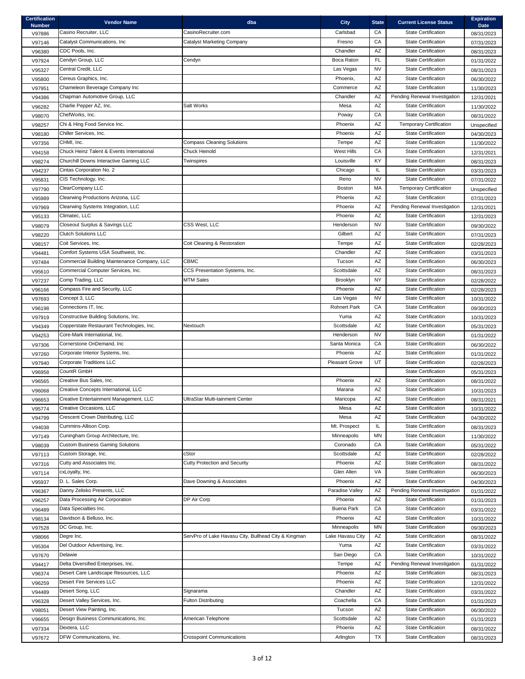| <b>Certification</b><br><b>Number</b> | <b>Vendor Name</b>                           | dba                                                  | <b>City</b>           | <b>State</b>           | <b>Current License Status</b>  | <b>Expiration</b><br><b>Date</b> |
|---------------------------------------|----------------------------------------------|------------------------------------------------------|-----------------------|------------------------|--------------------------------|----------------------------------|
| V97886                                | Casino Recruiter, LLC                        | CasinoRecruiter.com                                  | Carlsbad              | СA                     | <b>State Certification</b>     | 08/31/2023                       |
| V97146                                | Catalyst Communications, Inc                 | Catalyst Marketing Company                           | Fresno                | CA                     | <b>State Certification</b>     | 07/31/2023                       |
| V96380                                | CDC Pools, Inc.                              |                                                      | Chandler              | AZ                     | <b>State Certification</b>     | 08/31/2023                       |
| V97924                                | Cendyn Group, LLC                            | Cendyn                                               | Boca Raton            | <b>FL</b>              | <b>State Certification</b>     | 01/31/2022                       |
| V95327                                | Central Credit, LLC                          |                                                      | Las Vegas             | <b>NV</b>              | <b>State Certification</b>     | 08/31/2023                       |
| V95800                                | Cereus Graphics, Inc.                        |                                                      | Phoenix,              | AZ                     | <b>State Certification</b>     | 06/30/2022                       |
| V97951                                | Chameleon Beverage Company Inc               |                                                      | Commerce              | AZ                     | <b>State Certification</b>     | 11/30/2023                       |
| V94386                                | Chapman Automotive Group, LLC                |                                                      | Chandler              | AZ                     | Pending Renewal Investigation  | 12/31/2021                       |
| V96282                                | Charlie Pepper AZ, Inc.                      | Salt Works                                           | Mesa                  | AZ                     | <b>State Certification</b>     | 11/30/2022                       |
| V98070                                | ChefWorks, Inc.                              |                                                      | Poway                 | CA                     | <b>State Certification</b>     | 08/31/2022                       |
| V98257                                | Chi & Hing Food Service Inc.                 |                                                      | Phoenix               | AZ                     | <b>Temporary Certification</b> | Unspecified                      |
| V98180                                | Chiller Services, Inc.                       |                                                      | Phoenix               | AZ                     | <b>State Certification</b>     | 04/30/2023                       |
|                                       | CHMI, Inc.                                   | <b>Compass Cleaning Solutions</b>                    | Tempe                 | AZ                     | <b>State Certification</b>     |                                  |
| V97356<br>V94158                      | Chuck Heinz Talent & Events International    | Chuck Heinold                                        | West Hills            | CA                     | <b>State Certification</b>     | 11/30/2022<br>12/31/2021         |
|                                       | Churchill Downs Interactive Gaming LLC       | Twinspires                                           | Louisville            | <b>KY</b>              | <b>State Certification</b>     |                                  |
| V98274                                | Cintas Corporation No. 2                     |                                                      | Chicago               | IL                     | <b>State Certification</b>     | 08/31/2023                       |
| V94237                                |                                              |                                                      |                       | <b>NV</b>              | <b>State Certification</b>     | 03/31/2023                       |
| V95831                                | CIS Technology, Inc.<br>ClearCompany LLC     |                                                      | Reno                  | MA                     |                                | 07/31/2022                       |
| V97790                                |                                              |                                                      | <b>Boston</b>         |                        | <b>Temporary Certification</b> | Unspecified                      |
| V95989                                | Clearwing Productions Arizona, LLC           |                                                      | Phoenix               | AZ                     | <b>State Certification</b>     | 07/31/2023                       |
| V97969                                | Clearwing Systems Integration, LLC           |                                                      | Phoenix               | AZ                     | Pending Renewal Investigation  | 12/31/2021                       |
| V95133                                | Climatec, LLC                                |                                                      | Phoenix               | AZ                     | <b>State Certification</b>     | 12/31/2023                       |
| V98079                                | Closeout Surplus & Savings LLC               | CSS West, LLC                                        | Henderson             | <b>NV</b>              | <b>State Certification</b>     | 09/30/2022                       |
| V98220                                | <b>Clutch Solutions LLC</b>                  |                                                      | Gilbert               | AZ                     | <b>State Certification</b>     | 07/31/2023                       |
| V98157                                | Coit Services, Inc.                          | Coit Cleaning & Restoration                          | Tempe                 | AZ                     | <b>State Certification</b>     | 02/28/2023                       |
| V94481                                | Comfort Systems USA Southwest, Inc.          |                                                      | Chandler              | AZ                     | <b>State Certification</b>     | 03/31/2023                       |
| V97484                                | Commercial Building Maintenance Company, LLC | <b>CBMC</b>                                          | Tucson                | AZ                     | <b>State Certification</b>     | 06/30/2023                       |
| V95610                                | Commercial Computer Services, Inc.           | CCS Presentation Systems, Inc.                       | Scottsdale            | AZ                     | <b>State Certification</b>     | 08/31/2023                       |
| V97237                                | Comp Trading, LLC                            | <b>MTM Sales</b>                                     | Brooklyn              | <b>NY</b>              | <b>State Certification</b>     | 02/28/2022                       |
| V96166                                | Compass Fire and Security, LLC               |                                                      | Phoenix               | AZ                     | <b>State Certification</b>     | 02/28/2023                       |
| V97693                                | Concept 3, LLC                               |                                                      | Las Vegas             | <b>NV</b>              | <b>State Certification</b>     | 10/31/2022                       |
| V96198                                | Connections IT, Inc.                         |                                                      | <b>Rohnert Park</b>   | CA                     | <b>State Certification</b>     | 09/30/2023                       |
| V97919                                | Constructive Building Solutions, Inc.        |                                                      | Yuma                  | AZ                     | <b>State Certification</b>     | 10/31/2023                       |
| V94349                                | Copperstate Restaurant Technologies, Inc.    | Nextouch                                             | Scottsdale            | AZ                     | <b>State Certification</b>     | 05/31/2023                       |
| V94253                                | Core-Mark International, Inc.                |                                                      | Henderson             | <b>NV</b>              | <b>State Certification</b>     | 01/31/2022                       |
| V97306                                | Cornerstone OnDemand, Inc                    |                                                      | Santa Monica          | CA                     | <b>State Certification</b>     | 06/30/2022                       |
| V97260                                | Corporate Interior Systems, Inc.             |                                                      | Phoenix               | AZ                     | <b>State Certification</b>     | 01/31/2022                       |
| V97940                                | <b>Corporate Traditions LLC</b>              |                                                      | <b>Pleasant Grove</b> | UT                     | <b>State Certification</b>     | 02/28/2023                       |
| V96958                                | CountR GmbH                                  |                                                      |                       |                        | <b>State Certification</b>     | 05/31/2023                       |
| V96565                                | Creative Bus Sales, Inc.                     |                                                      | Phoenix               | $\mathsf{A}\mathsf{Z}$ | <b>State Certification</b>     | 08/31/2022                       |
| V96068                                | Creative Concepts International, LLC         |                                                      | Marana                | AZ                     | <b>State Certification</b>     | 10/31/2023                       |
| V96653                                | Creative Entertainment Management, LLC       | UltraStar Multi-tainment Center                      | Maricopa              | AZ                     | <b>State Certification</b>     | 08/31/2021                       |
| V95774                                | Creative Occasions, LLC                      |                                                      | Mesa                  | AZ                     | <b>State Certification</b>     | 10/31/2022                       |
| V94799                                | Crescent Crown Distributing, LLC             |                                                      | Mesa                  | AZ                     | <b>State Certification</b>     | 04/30/2022                       |
| V94038                                | Cummins-Allison Corp.                        |                                                      | Mt. Prospect          | IL                     | <b>State Certification</b>     | 08/31/2023                       |
| V97149                                | Cuningham Group Architecture, Inc.           |                                                      | Minneapolis           | <b>MN</b>              | <b>State Certification</b>     | 11/30/2022                       |
| V98039                                | <b>Custom Business Gaming Solutions</b>      |                                                      | Coronado              | CA                     | <b>State Certification</b>     | 05/31/2022                       |
| V97113                                | Custom Storage, Inc.                         | cStor                                                | Scottsdale            | AZ                     | <b>State Certification</b>     | 02/28/2022                       |
| V97316                                | Cutty and Associates Inc.                    | <b>Cutty Protection and Security</b>                 | Phoenix               | AZ                     | <b>State Certification</b>     | 08/31/2022                       |
| V97114                                | cxLoyalty, Inc.                              |                                                      | Glen Allen            | VA                     | <b>State Certification</b>     | 06/30/2023                       |
| V95937                                | D. L. Sales Corp.                            | Dave Downing & Associates                            | Phoenix               | AZ                     | <b>State Certification</b>     | 04/30/2023                       |
| V96367                                | Danny Zelisko Presents, LLC                  |                                                      | Paradise Valley       | AZ                     | Pending Renewal Investigation  | 01/31/2022                       |
| V96257                                | Data Processing Air Corporation              | DP Air Corp                                          | Phoenix               | AZ                     | <b>State Certification</b>     | 01/31/2023                       |
| V96489                                | Data Specialties Inc.                        |                                                      | <b>Buena Park</b>     | CA                     | <b>State Certification</b>     | 03/31/2022                       |
| V98134                                | Davidson & Belluso, Inc.                     |                                                      | Phoenix               | AZ                     | <b>State Certification</b>     | 10/31/2022                       |
|                                       | DC Group, Inc.                               |                                                      | Minneapolis           | MN                     | <b>State Certification</b>     |                                  |
| V97528                                | Degre Inc.                                   | ServPro of Lake Havasu City, Bullhead City & Kingman | Lake Havasu City      | AZ                     | <b>State Certification</b>     | 09/30/2023                       |
| V98066                                | Del Outdoor Advertising, Inc.                |                                                      | Yuma                  | $\mathsf{A}\mathsf{Z}$ | <b>State Certification</b>     | 08/31/2022                       |
| V95304                                | Delawie                                      |                                                      | San Diego             | CA                     | <b>State Certification</b>     | 03/31/2022                       |
| V97670                                |                                              |                                                      |                       |                        |                                | 10/31/2022                       |
| V94417                                | Delta Diversified Enterprises, Inc.          |                                                      | Tempe                 | AZ                     | Pending Renewal Investigation  | 01/31/2022                       |
| V96374                                | Desert Care Landscape Resources, LLC         |                                                      | Phoenix               | AZ                     | <b>State Certification</b>     | 08/31/2023                       |
| V96259                                | <b>Desert Fire Services LLC</b>              |                                                      | Phoenix               | AZ                     | <b>State Certification</b>     | 12/31/2022                       |
| V94489                                | Desert Song, LLC                             | Signarama                                            | Chandler              | $\mathsf{A}\mathsf{Z}$ | <b>State Certification</b>     | 03/31/2022                       |
| V96328                                | Desert Valley Services, Inc.                 | <b>Fulton Distributing</b>                           | Coachella             | СA                     | <b>State Certification</b>     | 01/31/2023                       |
| V98051                                | Desert View Painting, Inc.                   |                                                      | Tucson                | AZ                     | <b>State Certification</b>     | 06/30/2022                       |
| V96655                                | Design Business Communications, Inc.         | American Telephone                                   | Scottsdale            | AZ                     | <b>State Certification</b>     | 01/31/2023                       |
| V97334                                | Dextera, LLC                                 |                                                      | Phoenix               | $\mathsf{A}\mathsf{Z}$ | <b>State Certification</b>     | 08/31/2022                       |
| V97672                                | DFW Communications, Inc.                     | <b>Crosspoint Communications</b>                     | Arlington             | TX                     | <b>State Certification</b>     | 08/31/2023                       |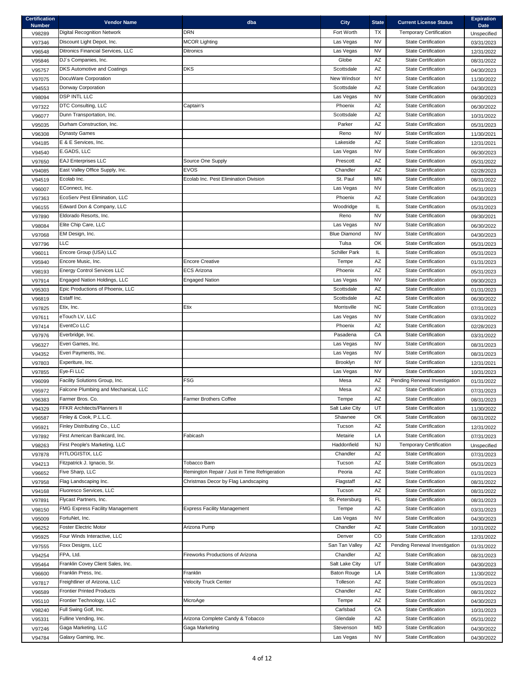| <b>Certification</b><br><b>Number</b> | <b>Vendor Name</b>                     | dba                                           | <b>City</b>                      | <b>State</b> | <b>Current License Status</b>  | <b>Expiration</b><br><b>Date</b> |
|---------------------------------------|----------------------------------------|-----------------------------------------------|----------------------------------|--------------|--------------------------------|----------------------------------|
| V98289                                | <b>Digital Recognition Network</b>     | <b>DRN</b>                                    | Fort Worth                       | <b>TX</b>    | <b>Temporary Certification</b> | Unspecified                      |
| V97346                                | Discount Light Depot, Inc.             | <b>MCOR Lighting</b>                          | Las Vegas                        | <b>NV</b>    | <b>State Certification</b>     | 03/31/2023                       |
| V96548                                | Ditronics Financial Services, LLC      | <b>Ditronics</b>                              | Las Vegas                        | <b>NV</b>    | <b>State Certification</b>     | 12/31/2022                       |
| V95846                                | DJ's Companies, Inc.                   |                                               | Globe                            | <b>AZ</b>    | <b>State Certification</b>     | 08/31/2022                       |
| V95757                                | <b>DKS Automotive and Coatings</b>     | <b>DKS</b>                                    | Scottsdale                       | AZ           | <b>State Certification</b>     | 04/30/2023                       |
| V97075                                | DocuWare Corporation                   |                                               | New Windsor                      | <b>NY</b>    | <b>State Certification</b>     | 11/30/2022                       |
| V94553                                | Donway Corporation                     |                                               | Scottsdale                       | AZ           | <b>State Certification</b>     | 04/30/2023                       |
| V98094                                | <b>DSP INTL LLC</b>                    |                                               | Las Vegas                        | <b>NV</b>    | <b>State Certification</b>     | 09/30/2023                       |
| V97322                                | DTC Consulting, LLC                    | Captain's                                     | Phoenix                          | AZ           | <b>State Certification</b>     | 06/30/2022                       |
| V96077                                | Dunn Transportation, Inc.              |                                               | Scottsdale                       | AZ           | <b>State Certification</b>     | 10/31/2022                       |
| V95035                                | Durham Construction, Inc.              |                                               | Parker                           | AZ           | <b>State Certification</b>     | 05/31/2023                       |
| V96308                                | <b>Dynasty Games</b>                   |                                               | Reno                             | <b>NV</b>    | <b>State Certification</b>     | 11/30/2021                       |
| V94185                                | E & E Services, Inc.                   |                                               | Lakeside                         | AZ           | <b>State Certification</b>     | 12/31/2021                       |
| V94540                                | E.GADS, LLC                            |                                               | Las Vegas                        | <b>NV</b>    | <b>State Certification</b>     | 06/30/2023                       |
| V97650                                | <b>EAJ Enterprises LLC</b>             | Source One Supply                             | Prescott                         | AZ           | <b>State Certification</b>     | 05/31/2022                       |
| V94085                                | East Valley Office Supply, Inc.        | <b>EVOS</b>                                   | Chandler                         | AZ           | <b>State Certification</b>     | 02/28/2023                       |
| V94519                                | Ecolab Inc.                            | Ecolab Inc. Pest Elimination Division         | St. Paul                         | <b>MN</b>    | <b>State Certification</b>     | 08/31/2022                       |
| V96007                                | EConnect, Inc.                         |                                               | Las Vegas                        | <b>NV</b>    | <b>State Certification</b>     | 05/31/2023                       |
| V97363                                | EcoServ Pest Elimination, LLC          |                                               | Phoenix                          | AZ           | <b>State Certification</b>     |                                  |
|                                       | Edward Don & Company, LLC              |                                               | Woodridge                        | IL           | <b>State Certification</b>     | 04/30/2023                       |
| V96155                                | Eldorado Resorts, Inc.                 |                                               | Reno                             | <b>NV</b>    | <b>State Certification</b>     | 05/31/2023                       |
| V97890                                | Elite Chip Care, LLC                   |                                               |                                  | <b>NV</b>    | <b>State Certification</b>     | 09/30/2021                       |
| V98084                                |                                        |                                               | Las Vegas<br><b>Blue Diamond</b> | <b>NV</b>    | <b>State Certification</b>     | 06/30/2022                       |
| V97068                                | EM Design, Inc.                        |                                               |                                  |              |                                | 04/30/2023                       |
| V97796                                | LLC                                    |                                               | Tulsa                            | OK           | <b>State Certification</b>     | 05/31/2023                       |
| V96011                                | Encore Group (USA) LLC                 |                                               | <b>Schiller Park</b>             | IL           | <b>State Certification</b>     | 05/31/2023                       |
| V95940                                | Encore Music, Inc.                     | <b>Encore Creative</b>                        | Tempe                            | AZ           | <b>State Certification</b>     | 01/31/2023                       |
| V98193                                | <b>Energy Control Services LLC</b>     | <b>ECS Arizona</b>                            | Phoenix                          | AZ           | <b>State Certification</b>     | 05/31/2023                       |
| V97914                                | Engaged Nation Holdings, LLC           | <b>Engaged Nation</b>                         | Las Vegas                        | <b>NV</b>    | <b>State Certification</b>     | 09/30/2023                       |
| V95303                                | Epic Productions of Phoenix, LLC       |                                               | Scottsdale                       | AZ           | <b>State Certification</b>     | 01/31/2023                       |
| V96819                                | Estaff Inc.                            |                                               | Scottsdale                       | AZ           | <b>State Certification</b>     | 06/30/2022                       |
| V97825                                | Etix, Inc.                             | Etix                                          | Morrisville                      | NC.          | <b>State Certification</b>     | 07/31/2023                       |
| V97611                                | eTouch LV, LLC                         |                                               | Las Vegas                        | <b>NV</b>    | <b>State Certification</b>     | 03/31/2022                       |
| V97414                                | EventCo LLC                            |                                               | Phoenix                          | AZ           | <b>State Certification</b>     | 02/28/2023                       |
| V97976                                | Everbridge, Inc.                       |                                               | Pasadena                         | CA           | <b>State Certification</b>     | 03/31/2022                       |
| V96327                                | Everi Games, Inc.                      |                                               | Las Vegas                        | <b>NV</b>    | <b>State Certification</b>     | 08/31/2023                       |
| V94352                                | Everi Payments, Inc.                   |                                               | Las Vegas                        | <b>NV</b>    | <b>State Certification</b>     | 08/31/2023                       |
| V97803                                | Experiture, Inc.                       |                                               | Brooklyn                         | <b>NY</b>    | <b>State Certification</b>     | 12/31/2021                       |
| V97855                                | Eye-Fi LLC                             |                                               | Las Vegas                        | <b>NV</b>    | <b>State Certification</b>     | 10/31/2023                       |
| V96099                                | Facility Solutions Group, Inc.         | <b>FSG</b>                                    | Mesa                             | AZ           | Pending Renewal Investigation  | 01/31/2022                       |
| V95972                                | Falcone Plumbing and Mechanical, LLC   |                                               | Mesa                             | AZ           | <b>State Certification</b>     | 07/31/2023                       |
| V96383                                | Farmer Bros. Co.                       | <b>Farmer Brothers Coffee</b>                 | Tempe                            | AZ           | <b>State Certification</b>     | 08/31/2023                       |
| V94329                                | <b>FFKR Architects/Planners II</b>     |                                               | Salt Lake City                   | UT           | <b>State Certification</b>     | 11/30/2022                       |
| V96587                                | Finley & Cook, P.L.L.C.                |                                               | Shawnee                          | OK           | <b>State Certification</b>     | 08/31/2022                       |
| V95921                                | Finley Distributing Co., LLC           |                                               | Tucson                           | AZ           | <b>State Certification</b>     | 12/31/2022                       |
| V97892                                | First American Bankcard, Inc.          | Fabicash                                      | Metairie                         | LA           | <b>State Certification</b>     | 07/31/2023                       |
| V98263                                | First People's Marketing, LLC          |                                               | Haddonfield                      | <b>NJ</b>    | <b>Temporary Certification</b> | Unspecified                      |
| V97878                                | FITLOGISTIX, LLC                       |                                               | Chandler                         | AZ           | <b>State Certification</b>     | 07/31/2023                       |
| V94213                                | Fitzpatrick J. Ignacio, Sr.            | Tobacco Barn                                  | Tucson                           | AZ           | <b>State Certification</b>     | 05/31/2023                       |
| V96652                                | Five Sharp, LLC                        | Remington Repair / Just in Time Refrigeration | Peoria                           | AZ           | <b>State Certification</b>     | 01/31/2023                       |
| V97958                                | Flag Landscaping Inc.                  | Christmas Decor by Flag Landscaping           | Flagstaff                        | AZ           | <b>State Certification</b>     | 08/31/2022                       |
| V94168                                | Fluoresco Services, LLC                |                                               | Tucson                           | AZ           | <b>State Certification</b>     | 08/31/2022                       |
| V97891                                | Flycast Partners, Inc.                 |                                               | St. Petersburg                   | <b>FL</b>    | <b>State Certification</b>     | 08/31/2023                       |
| V98150                                | <b>FMG Express Facility Management</b> | <b>Express Facility Management</b>            | Tempe                            | AZ           | <b>State Certification</b>     | 03/31/2023                       |
| V95009                                | FortuNet, Inc.                         |                                               | Las Vegas                        | <b>NV</b>    | <b>State Certification</b>     | 04/30/2023                       |
| V96252                                | <b>Foster Electric Motor</b>           | Arizona Pump                                  | Chandler                         | AZ           | <b>State Certification</b>     | 10/31/2022                       |
| V95925                                | Four Winds Interactive, LLC            |                                               | Denver                           | CO           | <b>State Certification</b>     | 12/31/2022                       |
| V97555                                | Foxx Designs, LLC                      |                                               | San Tan Valley                   | AZ           | Pending Renewal Investigation  | 01/31/2022                       |
| V94254                                | FPA, Ltd.                              | <b>Fireworks Productions of Arizona</b>       | Chandler                         | AZ           | <b>State Certification</b>     | 08/31/2023                       |
| V95464                                | Franklin Covey Client Sales, Inc.      |                                               | Salt Lake City                   | UT           | <b>State Certification</b>     | 04/30/2023                       |
| V96600                                | Franklin Press, Inc.                   | Franklin                                      | <b>Baton Rouge</b>               | LA           | <b>State Certification</b>     | 11/30/2022                       |
| V97817                                | Freightliner of Arizona, LLC           | <b>Velocity Truck Center</b>                  | Tolleson                         | AZ           | <b>State Certification</b>     | 05/31/2023                       |
| V96589                                | <b>Frontier Printed Products</b>       |                                               | Chandler                         | AZ           | <b>State Certification</b>     | 08/31/2022                       |
| V95110                                | Frontier Technology, LLC               | MicroAge                                      | Tempe                            | AZ           | <b>State Certification</b>     | 04/30/2023                       |
| V98240                                | Full Swing Golf, Inc.                  |                                               | Carlsbad                         | СA           | <b>State Certification</b>     | 10/31/2023                       |
| V95331                                | Fulline Vending, Inc.                  | Arizona Complete Candy & Tobacco              | Glendale                         | AZ           | <b>State Certification</b>     | 05/31/2022                       |
| V97246                                | Gaga Marketing, LLC                    | Gaga Marketing                                | Stevenson                        | MD           | <b>State Certification</b>     | 04/30/2022                       |
| V94784                                | Galaxy Gaming, Inc.                    |                                               | Las Vegas                        | <b>NV</b>    | <b>State Certification</b>     | 04/30/2022                       |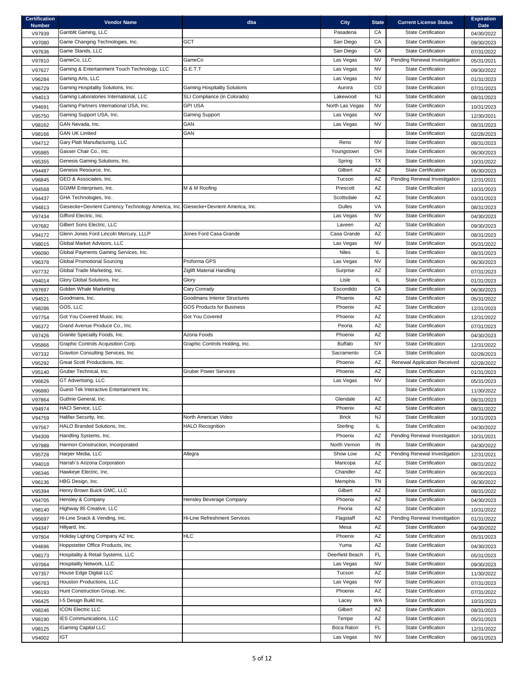| <b>Certification</b><br><b>Number</b> | <b>Vendor Name</b>                                                                  | dba                                 | <b>City</b>     | <b>State</b> | <b>Current License Status</b> | <b>Expiration</b><br><b>Date</b> |
|---------------------------------------|-------------------------------------------------------------------------------------|-------------------------------------|-----------------|--------------|-------------------------------|----------------------------------|
| V97939                                | Gamblit Gaming, LLC                                                                 |                                     | Pasadena        | CА           | <b>State Certification</b>    | 04/30/2022                       |
| V97080                                | Game Changing Technologies, Inc.                                                    | <b>GCT</b>                          | San Diego       | СA           | <b>State Certification</b>    | 09/30/2023                       |
| V97636                                | Game Stands, LLC                                                                    |                                     | San Diego       | CA           | <b>State Certification</b>    | 07/31/2022                       |
| V97810                                | GameCo, LLC                                                                         | GameCo                              | Las Vegas       | <b>NV</b>    | Pending Renewal Investigation | 05/31/2021                       |
| V97627                                | Gaming & Entertainment Touch Technology, LLC                                        | G.E.T.T                             | Las Vegas       | <b>NV</b>    | <b>State Certification</b>    | 09/30/2022                       |
| V96284                                | Gaming Arts, LLC                                                                    |                                     | Las Vegas       | <b>NV</b>    | <b>State Certification</b>    | 01/31/2023                       |
| V96729                                | Gaming Hospitality Solutions, Inc.                                                  | <b>Gaming Hospitality Solutions</b> | Aurora          | CO           | <b>State Certification</b>    | 07/31/2023                       |
| V94013                                | Gaming Laboratories International, LLC                                              | SLI Compliance (in Colorado)        | Lakewood        | <b>NJ</b>    | <b>State Certification</b>    | 08/31/2023                       |
| V94691                                | Gaming Partners International USA, Inc.                                             | <b>GPI USA</b>                      | North Las Vegas | <b>NV</b>    | <b>State Certification</b>    | 10/31/2023                       |
| V95750                                | Gaming Support USA, Inc.                                                            | <b>Gaming Support</b>               | Las Vegas       | <b>NV</b>    | <b>State Certification</b>    | 12/30/2021                       |
| V98162                                | GAN Nevada, Inc.                                                                    | GAN                                 | Las Vegas       | <b>NV</b>    | <b>State Certification</b>    | 08/31/2023                       |
| V98166                                | <b>GAN UK Limited</b>                                                               | GAN                                 |                 |              | <b>State Certification</b>    | 02/28/2023                       |
| V94712                                | Gary Platt Manufacturing, LLC                                                       |                                     | Reno            | <b>NV</b>    | <b>State Certification</b>    | 08/31/2023                       |
| V95985                                | Gasser Chair Co., Inc.                                                              |                                     | Youngstown      | OH           | <b>State Certification</b>    | 06/30/2023                       |
| V95355                                | Genesis Gaming Solutions, Inc.                                                      |                                     | Spring          | <b>TX</b>    | <b>State Certification</b>    | 10/31/2022                       |
| V94487                                | Genesis Resource, Inc.                                                              |                                     | Gilbert         | AZ           | <b>State Certification</b>    | 06/30/2023                       |
| V96845                                | GEO & Associates, Inc.                                                              |                                     | Tucson          | AZ           | Pending Renewal Investigation | 12/31/2021                       |
| V94568                                | <b>GGMM Enterprises, Inc.</b>                                                       | M & M Roofing                       | Prescott        | AZ           | <b>State Certification</b>    | 10/31/2023                       |
| V94437                                | GHA Technologies, Inc.                                                              |                                     | Scottsdale      | AZ           | <b>State Certification</b>    | 03/31/2023                       |
| V94813                                | Giesecke+Devrient Currency Technology America, Inc. Giesecke+Devrient America, Inc. |                                     | <b>Dulles</b>   | VA           | <b>State Certification</b>    | 08/31/2023                       |
| V97434                                | Gifford Electric, Inc.                                                              |                                     | Las Vegas       | <b>NV</b>    | <b>State Certification</b>    | 04/30/2023                       |
| V97682                                | Gilbert Sons Electric, LLC                                                          |                                     | Laveen          | AZ           | <b>State Certification</b>    | 09/30/2023                       |
| V94172                                | Glenn Jones Ford Lincoln Mercury, LLLP                                              | Jones Ford Casa Grande              | Casa Grande     | AZ           | <b>State Certification</b>    | 08/31/2023                       |
| V98015                                | Global Market Advisors, LLC                                                         |                                     | Las Vegas       | <b>NV</b>    | <b>State Certification</b>    | 05/31/2022                       |
| V96090                                | Global Payments Gaming Services, Inc.                                               |                                     | <b>Niles</b>    | IL           | <b>State Certification</b>    | 08/31/2023                       |
| V96378                                | <b>Global Promotional Sourcing</b>                                                  | Proforma GPS                        | Las Vegas       | <b>NV</b>    | <b>State Certification</b>    | 06/30/2023                       |
| V97732                                | Global Trade Marketing, Inc.                                                        | Ziglift Material Handling           | Surprise        | AZ           | <b>State Certification</b>    | 07/31/2023                       |
| V94014                                | Glory Global Solutions, Inc.                                                        | Glory                               | Lisle           | IL           | <b>State Certification</b>    | 01/31/2023                       |
| V97697                                | Golden Whale Marketing                                                              | Cary Conrady                        | Escondido       | CA           | <b>State Certification</b>    | 06/30/2023                       |
| V94521                                | Goodmans, Inc.                                                                      | <b>Goodmans Interior Structures</b> | Phoenix         | AZ           | <b>State Certification</b>    |                                  |
|                                       | GOS, LLC                                                                            | <b>GOS Products for Business</b>    | Phoenix         | AZ           | <b>State Certification</b>    | 05/31/2022                       |
| V98286                                | Got You Covered Music, Inc.                                                         | <b>Got You Covered</b>              | Phoenix         | AZ           | <b>State Certification</b>    | 12/31/2023                       |
| V97754                                | Grand Avenue Produce Co., Inc.                                                      |                                     | Peoria          | AZ           | <b>State Certification</b>    | 12/31/2022                       |
| V96372                                | Granite Specialty Foods, Inc.                                                       | Azoria Foods                        | Phoenix         | AZ           | <b>State Certification</b>    | 07/31/2023                       |
| V97426                                |                                                                                     | Graphic Controls Holding, Inc.      | <b>Buffalo</b>  | <b>NY</b>    | <b>State Certification</b>    | 04/30/2023                       |
| V95866                                | Graphic Controls Acquisition Corp.<br>Graviton Consulting Services, Inc             |                                     | Sacramento      | СA           | <b>State Certification</b>    | 12/31/2022                       |
| V97332                                |                                                                                     |                                     |                 |              |                               | 02/28/2023                       |
| V95292                                | Great Scott Productions, Inc.                                                       |                                     | Phoenix         | AZ           | Renewal Application Received  | 02/28/2022                       |
| V95140                                | Gruber Technical, Inc.                                                              | <b>Gruber Power Services</b>        | Phoenix         | AZ           | <b>State Certification</b>    | 01/31/2023                       |
| V96626                                | GT Advertising, LLC                                                                 |                                     | Las Vegas       | <b>NV</b>    | <b>State Certification</b>    | 05/31/2023                       |
| V96880                                | Guest-Tek Interactive Entertainment Inc.                                            |                                     |                 |              | <b>State Certification</b>    | 11/30/2022                       |
| V97864                                | Guthrie General, Inc.                                                               |                                     | Glendale        | AZ           | <b>State Certification</b>    | 08/31/2023                       |
| V94974                                | <b>HACI Service, LLC</b>                                                            |                                     | Phoenix         | AZ           | <b>State Certification</b>    | 08/31/2022                       |
| V94759                                | Halifax Security, Inc.                                                              | North American Video                | <b>Brick</b>    | <b>NJ</b>    | <b>State Certification</b>    | 10/31/2023                       |
| V97567                                | HALO Branded Solutions, Inc.                                                        | <b>HALO Recognition</b>             | Sterling        | IL           | <b>State Certification</b>    | 04/30/2022                       |
| V94309                                | Handling Systems, Inc.                                                              |                                     | Phoenix         | AZ           | Pending Renewal Investigation | 10/31/2021                       |
| V97988                                | Harmon Construction, Incorporated                                                   |                                     | North Vernon    | IN           | <b>State Certification</b>    | 04/30/2022                       |
| V95728                                | Harper Media, LLC                                                                   | Allegra                             | Show Low        | AZ           | Pending Renewal Investigation | 12/31/2021                       |
| V94018                                | Harrah's Arizona Corporation                                                        |                                     | Maricopa        | AZ           | <b>State Certification</b>    | 08/31/2022                       |
| V96346                                | Hawkeye Electric, Inc.                                                              |                                     | Chandler        | AZ           | <b>State Certification</b>    | 06/30/2023                       |
| V96136                                | HBG Design, Inc.                                                                    |                                     | Memphis         | <b>TN</b>    | <b>State Certification</b>    | 06/30/2022                       |
| V95394                                | Henry Brown Buick GMC, LLC                                                          |                                     | Gilbert         | AZ           | <b>State Certification</b>    | 08/31/2022                       |
| V94705                                | Hensley & Company                                                                   | Hensley Beverage Company            | Phoenix         | AZ           | <b>State Certification</b>    | 04/30/2023                       |
| V98140                                | Highway 85 Creative, LLC                                                            |                                     | Peoria          | AZ           | <b>State Certification</b>    | 10/31/2022                       |
| V95697                                | Hi-Line Snack & Vending, Inc.                                                       | <b>Hi-Line Refreshment Services</b> | Flagstaff       | AZ           | Pending Renewal Investigation | 01/31/2022                       |
| V94347                                | Hillyard, Inc.                                                                      |                                     | Mesa            | AZ           | <b>State Certification</b>    | 04/30/2022                       |
| V97804                                | Holiday Lighting Company AZ Inc.                                                    | <b>HLC</b>                          | Phoenix         | AZ           | <b>State Certification</b>    | 05/31/2023                       |
| V94696                                | Hoppstetter Office Products, Inc.                                                   |                                     | Yuma            | AZ           | <b>State Certification</b>    | 04/30/2023                       |
| V98173                                | Hospitality & Retail Systems, LLC                                                   |                                     | Deerfield Beach | <b>FL</b>    | <b>State Certification</b>    | 05/31/2023                       |
| V97064                                | Hospitality Network, LLC                                                            |                                     | Las Vegas       | <b>NV</b>    | <b>State Certification</b>    | 09/30/2023                       |
| V97357                                | House Edge Digital LLC                                                              |                                     | Tucson          | AZ           | <b>State Certification</b>    | 11/30/2022                       |
| V96763                                | Houston Productions, LLC                                                            |                                     | Las Vegas       | <b>NV</b>    | <b>State Certification</b>    | 07/31/2023                       |
| V96193                                | Hunt Construction Group, Inc.                                                       |                                     | Phoenix         | AZ           | <b>State Certification</b>    | 07/31/2022                       |
| V96425                                | I-5 Design Build Inc.                                                               |                                     | Lacey           | WA           | <b>State Certification</b>    | 10/31/2023                       |
| V98246                                | <b>ICON Electric LLC</b>                                                            |                                     | Gilbert         | AZ           | <b>State Certification</b>    | 08/31/2023                       |
| V98190                                | <b>IES</b> Communications, LLC                                                      |                                     | Tempe           | AZ           | <b>State Certification</b>    | 05/31/2023                       |
| V98125                                | iGaming Capital LLC                                                                 |                                     | Boca Raton      | <b>FL</b>    | <b>State Certification</b>    | 12/31/2022                       |
| V94002                                | <b>IGT</b>                                                                          |                                     | Las Vegas       | <b>NV</b>    | <b>State Certification</b>    | 08/31/2023                       |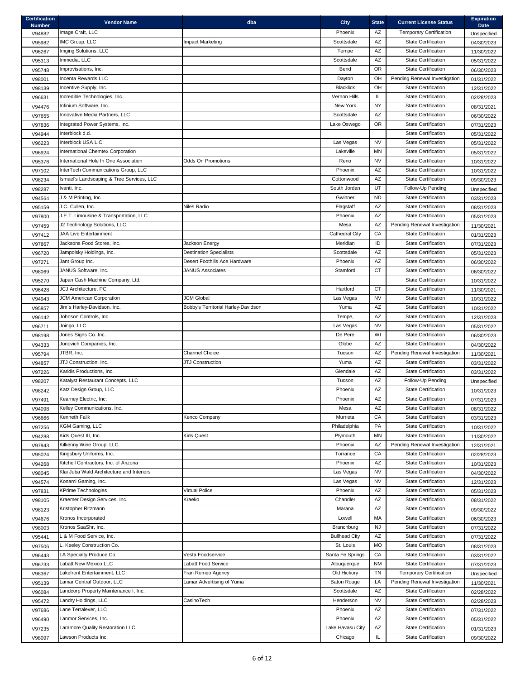| <b>Certification</b><br><b>Number</b> | <b>Vendor Name</b>                        | dba                                 | <b>City</b>           | <b>State</b> | <b>Current License Status</b>                            | <b>Expiration</b><br><b>Date</b> |
|---------------------------------------|-------------------------------------------|-------------------------------------|-----------------------|--------------|----------------------------------------------------------|----------------------------------|
| V94882                                | Image Craft, LLC                          |                                     | Phoenix               | AZ           | <b>Temporary Certification</b>                           | Unspecified                      |
| V95982                                | IMC Group, LLC                            | <b>Impact Marketing</b>             | Scottsdale            | AZ           | <b>State Certification</b>                               | 04/30/2023                       |
| V96267                                | Imging Solutions, LLC                     |                                     | Tempe                 | AZ           | <b>State Certification</b>                               | 11/30/2022                       |
| V95313                                | Immedia, LLC                              |                                     | Scottsdale            | AZ           | <b>State Certification</b>                               | 05/31/2022                       |
| V95748                                | Improvisations, Inc.                      |                                     | Bend                  | <b>OR</b>    | <b>State Certification</b>                               | 06/30/2023                       |
| V98001                                | Incenta Rewards LLC                       |                                     | Dayton                | OH           | Pending Renewal Investigation                            | 01/31/2022                       |
| V98139                                | Incentive Supply, Inc.                    |                                     | <b>Blacklick</b>      | OH           | <b>State Certification</b>                               | 12/31/2022                       |
| V96631                                | Incredible Technologies, Inc.             |                                     | Vernon Hills          | IL           | <b>State Certification</b>                               | 02/28/2023                       |
| V94476                                | Infinium Software, Inc.                   |                                     | New York              | <b>NY</b>    | <b>State Certification</b>                               | 08/31/2021                       |
| V97655                                | Innovative Media Partners, LLC            |                                     | Scottsdale            | AZ           | <b>State Certification</b>                               | 06/30/2022                       |
| V97836                                | Integrated Power Systems, Inc.            |                                     | Lake Oswego           | <b>OR</b>    | <b>State Certification</b>                               | 07/31/2023                       |
| V94944                                | Interblock d.d.                           |                                     |                       |              | <b>State Certification</b>                               | 05/31/2022                       |
| V96223                                | Interblock USA L.C.                       |                                     | Las Vegas             | <b>NV</b>    | <b>State Certification</b>                               | 05/31/2022                       |
| V96924                                | International Chemtex Corporation         |                                     | Lakeville             | MN           | <b>State Certification</b>                               | 05/31/2022                       |
| V95376                                | International Hole In One Association     | <b>Odds On Promotions</b>           | Reno                  | <b>NV</b>    | <b>State Certification</b>                               | 10/31/2022                       |
| V97102                                | InterTech Communications Group, LLC       |                                     | Phoenix               | AZ           | <b>State Certification</b>                               | 10/31/2022                       |
| V98234                                | Ismael's Landscaping & Tree Services, LLC |                                     | Cottonwood            | AZ           | <b>State Certification</b>                               | 09/30/2023                       |
| V98287                                | Ivanti, Inc.                              |                                     | South Jordan          | UT           | Follow-Up Pending                                        | Unspecified                      |
| V94564                                | J & M Printing, Inc.                      |                                     | Gwinner               | ND.          | <b>State Certification</b>                               | 03/31/2023                       |
| V95159                                | J.C. Cullen, Inc.                         | Niles Radio                         | Flagstaff             | AZ           | <b>State Certification</b>                               | 08/31/2023                       |
| V97800                                | J.E.T. Limousine & Transportation, LLC    |                                     | Phoenix               | AZ           | <b>State Certification</b>                               | 05/31/2023                       |
| V97459                                | J2 Technology Solutions, LLC              |                                     | Mesa                  | AΖ           | Pending Renewal Investigation                            | 11/30/2021                       |
| V97412                                | <b>JAA Live Entertainment</b>             |                                     | <b>Cathedral City</b> | CA           | <b>State Certification</b>                               | 01/31/2023                       |
| V97867                                | Jacksons Food Stores, Inc.                | Jackson Energy                      | Meridian              | ID           | <b>State Certification</b>                               | 07/31/2023                       |
| V96720                                | Jampolsky Holdings, Inc.                  | <b>Destination Specialists</b>      | Scottsdale            | AZ           | <b>State Certification</b>                               | 05/31/2023                       |
| V97271                                | Jant Group Inc.                           | Desert Foothills Ace Hardware       | Phoenix               | AZ           | <b>State Certification</b>                               | 06/30/2022                       |
| V98069                                | JANUS Software, Inc.                      | <b>JANUS Associates</b>             | Stamford              | <b>CT</b>    | <b>State Certification</b>                               | 06/30/2022                       |
| V95270                                | Japan Cash Machine Company, Ltd.          |                                     |                       |              | <b>State Certification</b>                               | 10/31/2022                       |
| V96428                                | JCJ Architecture, PC                      |                                     | Hartford              | <b>CT</b>    | <b>State Certification</b>                               | 11/30/2021                       |
| V94943                                | <b>JCM American Corporation</b>           | <b>JCM Global</b>                   | Las Vegas             | <b>NV</b>    | <b>State Certification</b>                               | 10/31/2022                       |
| V95857                                | Jim's Harley-Davidson, Inc.               | Bobby's Territorial Harley-Davidson | Yuma                  | AZ           | <b>State Certification</b>                               | 10/31/2022                       |
| V96142                                | Johnson Controls, Inc.                    |                                     | Tempe,                | AZ           | <b>State Certification</b>                               | 12/31/2023                       |
| V96711                                | Joingo, LLC<br>Jones Signs Co. Inc.       |                                     | Las Vegas<br>De Pere  | <b>NV</b>    | <b>State Certification</b><br><b>State Certification</b> | 05/31/2022                       |
| V98198                                |                                           |                                     | Globe                 | WI<br>AZ     | <b>State Certification</b>                               | 06/30/2023                       |
| V94333                                | Jonovich Companies, Inc.<br>JTBR, Inc.    | <b>Channel Choice</b>               | Tucson                | AZ           | Pending Renewal Investigation                            | 04/30/2022                       |
| V95794                                | JTJ Construction, Inc.                    | JTJ Construction                    | Yuma                  | AZ           | <b>State Certification</b>                               | 11/30/2021                       |
| V94857                                | Karidis Productions, Inc.                 |                                     | Glendale              | AZ           | <b>State Certification</b>                               | 03/31/2022                       |
| V97226                                | Katalyst Restaurant Concepts, LLC         |                                     | Tucson                | AZ           | Follow-Up Pending                                        | 03/31/2022                       |
| V98207                                | Katz Design Group, LLC                    |                                     | Phoenix               | AZ           | <b>State Certification</b>                               | Unspecified                      |
| V98242<br>V97491                      | Kearney Electric, Inc.                    |                                     | Phoenix               | AZ           | <b>State Certification</b>                               | 10/31/2023<br>07/31/2023         |
| V94098                                | Kelley Communications, Inc.               |                                     | Mesa                  | AZ           | <b>State Certification</b>                               | 08/31/2022                       |
| V96666                                | Kenneth Falik                             | Kenco Company                       | Murrieta              | CA           | <b>State Certification</b>                               | 03/31/2023                       |
| V97256                                | KGM Gaming, LLC                           |                                     | Philadelphia          | PA           | <b>State Certification</b>                               | 10/31/2022                       |
| V94288                                | Kids Quest III, Inc.                      | <b>Kids Quest</b>                   | Plymouth              | <b>MN</b>    | <b>State Certification</b>                               | 11/30/2022                       |
| V97943                                | Kilkenny Wine Group, LLC                  |                                     | Phoenix               | AZ           | Pending Renewal Investigation                            | 12/31/2021                       |
| V95024                                | Kingsbury Uniforms, Inc.                  |                                     | Torrance              | CA           | <b>State Certification</b>                               | 02/28/2023                       |
| V94268                                | Kitchell Contractors, Inc. of Arizona     |                                     | Phoenix               | AZ           | <b>State Certification</b>                               | 10/31/2023                       |
| V98045                                | Klai Juba Wald Architecture and Interiors |                                     | Las Vegas             | <b>NV</b>    | <b>State Certification</b>                               | 04/30/2022                       |
| V94574                                | Konami Gaming, Inc.                       |                                     | Las Vegas             | <b>NV</b>    | <b>State Certification</b>                               | 12/31/2023                       |
| V97831                                | <b>KPrime Technologies</b>                | <b>Virtual Police</b>               | Phoenix               | AZ           | <b>State Certification</b>                               | 05/31/2023                       |
| V98105                                | Kraemer Design Services, Inc.             | Kraeko                              | Chandler              | AZ           | <b>State Certification</b>                               | 08/31/2022                       |
| V98123                                | Kristopher Ritzmann                       |                                     | Marana                | AZ           | <b>State Certification</b>                               | 09/30/2022                       |
| V94676                                | Kronos Incorporated                       |                                     | Lowell                | <b>MA</b>    | <b>State Certification</b>                               | 06/30/2023                       |
| V98003                                | Kronos SaaShr, Inc.                       |                                     | Branchburg            | <b>NJ</b>    | <b>State Certification</b>                               | 07/31/2022                       |
| V95441                                | L & M Food Service, Inc.                  |                                     | <b>Bullhead City</b>  | AZ           | <b>State Certification</b>                               | 07/31/2022                       |
| V97506                                | L. Keeley Construction Co.                |                                     | St. Louis             | <b>MO</b>    | <b>State Certification</b>                               | 08/31/2023                       |
| V96443                                | LA Specialty Produce Co.                  | Vesta Foodservice                   | Santa Fe Springs      | CA           | <b>State Certification</b>                               | 03/31/2022                       |
| V96733                                | Labatt New Mexico LLC                     | Labatt Food Service                 | Albuquerque           | <b>NM</b>    | <b>State Certification</b>                               | 07/31/2023                       |
| V98367                                | Lakefront Entertainment, LLC              | Fran Romeo Agency                   | Old Hickory           | <b>TN</b>    | <b>Temporary Certification</b>                           | Unspecified                      |
| V95139                                | Lamar Central Outdoor, LLC                | Lamar Advertising of Yuma           | <b>Baton Rouge</b>    | LA           | Pending Renewal Investigation                            | 11/30/2021                       |
| V96084                                | Landcorp Property Maintenance I, Inc.     |                                     | Scottsdale            | AZ           | <b>State Certification</b>                               | 02/28/2022                       |
| V95472                                | Landry Holdings, LLC                      | CasinoTech                          | Henderson             | <b>NV</b>    | <b>State Certification</b>                               | 02/28/2023                       |
| V97686                                | Lane Terralever, LLC                      |                                     | Phoenix               | AZ           | <b>State Certification</b>                               | 07/31/2022                       |
| V96490                                | Lanmor Services, Inc.                     |                                     | Phoenix               | AZ           | <b>State Certification</b>                               | 05/31/2022                       |
| V97235                                | Laramore Quality Restoration LLC          |                                     | Lake Havasu City      | AZ           | <b>State Certification</b>                               | 01/31/2023                       |
| V98097                                | Lawson Products Inc.                      |                                     | Chicago               | IL.          | <b>State Certification</b>                               | 09/30/2022                       |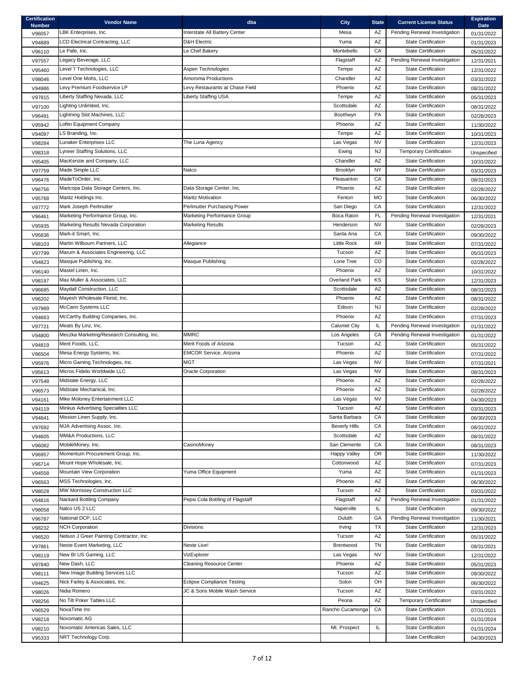| <b>Certification</b><br><b>Number</b> | <b>Vendor Name</b>                                  | dba                               | <b>City</b>          | <b>State</b>           | <b>Current License Status</b>                            | <b>Expiration</b><br><b>Date</b> |
|---------------------------------------|-----------------------------------------------------|-----------------------------------|----------------------|------------------------|----------------------------------------------------------|----------------------------------|
| V96057                                | LBK Enterprises, Inc.                               | Interstate All Battery Center     | Mesa                 | AZ                     | Pending Renewal Investigation                            | 01/31/2022                       |
| V94889                                | <b>LCD Electrical Contracting, LLC</b>              | <b>D&amp;H Electric</b>           | Yuma                 | AZ                     | <b>State Certification</b>                               | 01/31/2023                       |
| V96110                                | Le Pafe, Inc.                                       | Le Chef Bakery                    | Montebello           | CA                     | <b>State Certification</b>                               | 05/31/2022                       |
| V97557                                | Legacy Beverage, LLC                                |                                   | Flagstaff            | AZ                     | Pending Renewal Investigation                            | 12/31/2021                       |
| V95460                                | Level 7 Technologies, LLC                           | Aspen Technologies                | Tempe                | AZ                     | <b>State Certification</b>                               | 12/31/2022                       |
| V98046                                | Level One Mohs, LLC                                 | Amoroma Productions               | Chandler             | AZ                     | <b>State Certification</b>                               | 03/31/2022                       |
| V94986                                | Levy Premium Foodservice LP                         | Levy Restaurants at Chase Field   | Phoenix              | AZ                     | <b>State Certification</b>                               | 08/31/2022                       |
| V97815                                | Liberty Staffing Nevada, LLC                        | <b>Liberty Staffing USA</b>       | Tempe                | AZ                     | <b>State Certification</b>                               | 05/31/2023                       |
| V97100                                | Lighting Unlimited, Inc.                            |                                   | Scottsdale           | AZ                     | <b>State Certification</b>                               | 08/31/2022                       |
| V96491                                | Lightning Slot Machines, LLC                        |                                   | Boothwyn             | PA                     | <b>State Certification</b>                               | 02/28/2023                       |
| V95942                                | Loftin Equipment Company                            |                                   | Phoenix              | AZ                     | <b>State Certification</b>                               | 11/30/2022                       |
| V94097                                | LS Branding, Inc.                                   |                                   | Tempe                | AZ                     | <b>State Certification</b>                               | 10/31/2023                       |
| V98284                                | Lunaker Enterprises LLC                             | The Luna Agency                   | Las Vegas            | <b>NV</b>              | <b>State Certification</b>                               | 12/31/2023                       |
| V98318                                | Lyneer Staffing Solutions, LLC                      |                                   | Ewing                | <b>NJ</b>              | <b>Temporary Certification</b>                           | Unspecified                      |
| V95405                                | MacKenzie and Company, LLC                          |                                   | Chandler             | AZ                     | <b>State Certification</b>                               | 10/31/2022                       |
| V97759                                | Made Simple LLC                                     | Natco                             | Brooklyn             | <b>NY</b>              | <b>State Certification</b>                               | 03/31/2023                       |
| V96476                                | MadeToOrder, Inc.                                   |                                   | Pleasanton           | CA                     | <b>State Certification</b>                               | 08/31/2023                       |
| V96756                                | Maricopa Data Storage Centers, Inc.                 | Data Storage Center, Inc.         | Phoenix              | AZ                     | <b>State Certification</b>                               | 02/28/2022                       |
| V95768                                | Maritz Holdings Inc.                                | <b>Maritz Motivation</b>          | Fenton               | <b>MO</b>              | <b>State Certification</b>                               | 06/30/2022                       |
| V97772                                | Mark Joseph Perlmutter                              | Perlmutter Purchasing Power       | San Diego            | CA                     | <b>State Certification</b>                               | 12/31/2022                       |
| V96461                                | Marketing Performance Group, Inc.                   | Marketing Performance Group       | Boca Raton           | <b>FL</b>              | Pending Renewal Investigation                            | 12/31/2021                       |
| V95935                                | Marketing Results Nevada Corporation                | <b>Marketing Results</b>          | Henderson            | <b>NV</b>              | <b>State Certification</b>                               | 02/28/2023                       |
| V95836                                | Mark-it Smart, Inc.                                 |                                   | Santa Ana            | CA                     | <b>State Certification</b>                               | 09/30/2022                       |
| V98103                                | Martin Wilbourn Partners, LLC                       | Allegiance                        | <b>Little Rock</b>   | <b>AR</b>              | <b>State Certification</b>                               | 07/31/2022                       |
| V97799                                | Marum & Associates Engineering, LLC                 |                                   | Tucson               | AZ                     | <b>State Certification</b>                               | 05/31/2023                       |
| V94823                                | Masque Publishing, Inc.                             | Masque Publishing                 | Lone Tree            | CO                     | <b>State Certification</b>                               | 02/28/2022                       |
| V96140                                | Mastel Linen, Inc.                                  |                                   | Phoenix              | AZ                     | <b>State Certification</b>                               | 10/31/2022                       |
| V98197                                | Max Muller & Associates, LLC                        |                                   | <b>Overland Park</b> | KS                     | <b>State Certification</b>                               | 12/31/2023                       |
| V96685                                | Maydall Construction, LLC                           |                                   | Scottsdale           | AZ                     | <b>State Certification</b>                               | 08/31/2023                       |
| V96202                                | Mayesh Wholesale Florist, Inc.                      |                                   | Phoenix              | AZ                     | <b>State Certification</b>                               | 08/31/2022                       |
| V97989                                | McCann Systems LLC                                  |                                   | Edison               | <b>NJ</b>              | <b>State Certification</b>                               | 02/28/2022                       |
| V94663                                | McCarthy Building Companies, Inc.                   |                                   | Phoenix              | AZ                     | <b>State Certification</b>                               | 07/31/2023                       |
| V97721                                | Meats By Linz, Inc.                                 |                                   | <b>Calumet City</b>  | IL                     | Pending Renewal Investigation                            | 01/31/2022                       |
| V94800                                | Meczka Marketing/Research Consulting, Inc.          | <b>MMRC</b>                       | Los Angeles          | CA                     | Pending Renewal Investigation                            | 01/31/2022                       |
| V94819                                | Merit Foods, LLC.                                   | Merit Foods of Arizona            | Tucson               | AZ                     | <b>State Certification</b>                               | 05/31/2022                       |
| V96504                                | Mesa Energy Systems, Inc.                           | <b>EMCOR Service, Arizona</b>     | Phoenix              | AZ                     | <b>State Certification</b>                               | 07/31/2022                       |
| V95976                                | Micro Gaming Technologies, Inc.                     | MGT                               | Las Vegas            | <b>NV</b>              | <b>State Certification</b>                               | 07/31/2021                       |
| V95613                                | Micros Fidelio Worldwide LLC                        | <b>Oracle Corporation</b>         | Las Vegas            | <b>NV</b>              | <b>State Certification</b>                               | 08/31/2023                       |
| V97548                                | Midstate Energy, LLC                                |                                   | Phoenix              | AZ                     | <b>State Certification</b>                               | 02/28/2022                       |
| V96573                                | Midstate Mechanical, Inc.                           |                                   | Phoenix              | AZ                     | <b>State Certification</b>                               | 02/28/2022                       |
| V94161                                | Mike Moloney Entertainment LLC                      |                                   | Las Vegas            | <b>NV</b>              | <b>State Certification</b>                               | 04/30/2023                       |
| V94119                                | Minkus Advertising Specialties LLC                  |                                   | Tucson               | AZ                     | <b>State Certification</b>                               | 03/31/2023                       |
| V94841                                | Mission Linen Supply, Inc.                          |                                   | Santa Barbara        | СA                     | <b>State Certification</b>                               | 06/30/2023                       |
| V97692                                | MJA Advertising Assoc. Inc.                         |                                   | <b>Beverly Hills</b> | CA                     | <b>State Certification</b>                               | 08/31/2022                       |
| V94605                                | MM&A Productions, LLC                               |                                   | Scottsdale           | AZ                     | <b>State Certification</b>                               | 08/31/2022                       |
| V96082                                | MobileMoney, Inc.                                   | CasinoMoney                       | San Clemente         | CA                     | <b>State Certification</b>                               | 08/31/2023                       |
| V96957                                | Momentum Procurement Group, Inc.                    |                                   | <b>Happy Valley</b>  | <b>OR</b>              | <b>State Certification</b>                               | 11/30/2022                       |
| V96714                                | Mount Hope Wholesale, Inc.                          |                                   | Cottonwood           | AZ                     | <b>State Certification</b>                               | 07/31/2023                       |
| V94558                                | Mountain View Corporation<br>MSS Technologies, Inc. | Yuma Office Equipment             | Yuma<br>Phoenix      | AZ<br>AZ               | <b>State Certification</b><br><b>State Certification</b> | 01/31/2023                       |
| V96563                                | MW Morrissey Construction LLC                       |                                   | Tucson               | AZ                     | <b>State Certification</b>                               | 06/30/2022                       |
| V98028                                | Nackard Bottling Company                            | Pepsi Cola Bottling of Flagstaff  | Flagstaff            | AZ                     | Pending Renewal Investigation                            | 03/31/2022                       |
| V94816                                | Nalco US 2 LLC                                      |                                   | Naperville           | IL.                    | <b>State Certification</b>                               | 01/31/2022                       |
| V98058                                | National DCP, LLC                                   |                                   | Duluth               | GA                     | Pending Renewal Investigation                            | 09/30/2022                       |
| V96787                                | <b>NCH Corporation</b>                              | Divisions                         |                      | <b>TX</b>              | <b>State Certification</b>                               | 11/30/2021                       |
| V98232                                | Nelson J Greer Painting Contractor, Inc.            |                                   | Irving<br>Tucson     | AZ                     | <b>State Certification</b>                               | 12/31/2023                       |
| V96520                                | Neste Event Marketing, LLC                          | Neste Live!                       | Brentwood            | <b>TN</b>              | <b>State Certification</b>                               | 05/31/2022                       |
| V97861                                | New BI US Gaming, LLC                               | VizExplorer                       | Las Vegas            | <b>NV</b>              | <b>State Certification</b>                               | 08/31/2021                       |
| V98119                                | New Dash, LLC                                       | <b>Cleaning Resource Center</b>   | Phoenix              | AZ                     | <b>State Certification</b>                               | 12/31/2022                       |
| V97840                                | New Image Building Services LLC                     |                                   | Tucson               | AZ                     | <b>State Certification</b>                               | 05/31/2023                       |
| V98111                                | Nick Farley & Associates, Inc.                      | <b>Eclipse Compliance Testing</b> | Solon                | OH                     | <b>State Certification</b>                               | 09/30/2022                       |
| V94625                                | Nidia Romero                                        | JC & Sons Mobile Wash Service     | Tucson               | $\mathsf{A}\mathsf{Z}$ | <b>State Certification</b>                               | 06/30/2022                       |
| V98026<br>V98256                      | No Tilt Poker Tables LLC                            |                                   | Peoria               | AZ                     | <b>Temporary Certification</b>                           | 03/31/2022                       |
|                                       | NovaTime Inc                                        |                                   | Rancho Cucamonga     | CA                     | <b>State Certification</b>                               | Unspecified                      |
| V96529                                | Novomatic AG                                        |                                   |                      |                        | <b>State Certification</b>                               | 07/31/2021                       |
| V98218                                | Novomatic Americas Sales, LLC                       |                                   | Mt. Prospect         | IL                     | <b>State Certification</b>                               | 01/31/2024                       |
| V98210                                | NRT Technology Corp.                                |                                   |                      |                        | <b>State Certification</b>                               | 01/31/2024                       |
| V95333                                |                                                     |                                   |                      |                        |                                                          | 04/30/2023                       |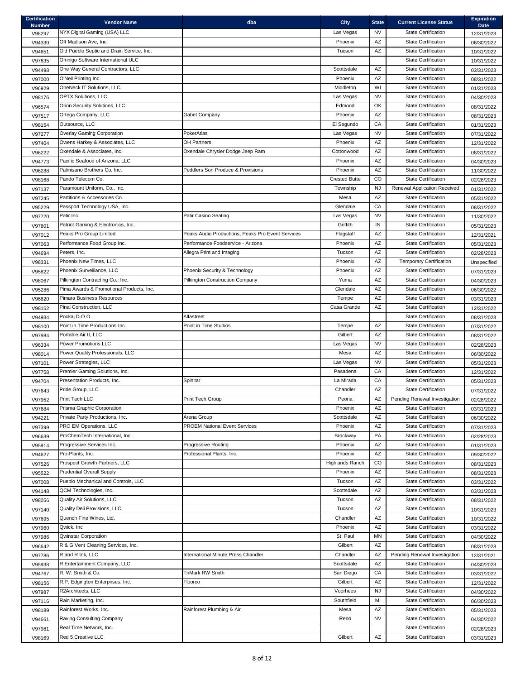| <b>Certification</b><br><b>Number</b> | <b>Vendor Name</b>                        | dba                                               | <b>City</b>            | <b>State</b> | <b>Current License Status</b>  | <b>Expiration</b><br><b>Date</b> |
|---------------------------------------|-------------------------------------------|---------------------------------------------------|------------------------|--------------|--------------------------------|----------------------------------|
| V98297                                | NYX Digital Gaming (USA) LLC              |                                                   | Las Vegas              | <b>NV</b>    | <b>State Certification</b>     | 12/31/2023                       |
| V94330                                | Off Madison Ave, Inc.                     |                                                   | Phoenix                | AZ           | <b>State Certification</b>     | 06/30/2022                       |
| V94651                                | Old Pueblo Septic and Drain Service, Inc. |                                                   | Tucson                 | AZ           | <b>State Certification</b>     | 10/31/2022                       |
| V97635                                | Omnigo Software International ULC         |                                                   |                        |              | <b>State Certification</b>     | 10/31/2022                       |
| V94498                                | One Way General Contractors, LLC          |                                                   | Scottsdale             | AZ           | <b>State Certification</b>     | 03/31/2023                       |
| V97000                                | O'Neil Printing Inc.                      |                                                   | Phoenix                | AZ           | <b>State Certification</b>     | 08/31/2022                       |
| V96929                                | OneNeck IT Solutions, LLC                 |                                                   | Middleton              | WI           | <b>State Certification</b>     | 01/31/2023                       |
| V98176                                | <b>OPTX Solutions, LLC</b>                |                                                   | Las Vegas              | <b>NV</b>    | <b>State Certification</b>     | 04/30/2023                       |
| V96574                                | Orion Security Solutions, LLC             |                                                   | Edmond                 | OK           | <b>State Certification</b>     | 08/31/2022                       |
| V97517                                | Ortega Company, LLC                       | Gabet Company                                     | Phoenix                | AZ           | <b>State Certification</b>     | 08/31/2023                       |
| V98154                                | Outsource, LLC                            |                                                   | El Segundo             | CA           | <b>State Certification</b>     | 01/31/2023                       |
| V97277                                | Overlay Gaming Corporation                | PokerAtlas                                        | Las Vegas              | <b>NV</b>    | <b>State Certification</b>     | 07/31/2022                       |
| V97404                                | Owens Harkey & Associates, LLC            | <b>OH Partners</b>                                | Phoenix                | AZ           | <b>State Certification</b>     | 12/31/2022                       |
| V96222                                | Oxendale & Associates, Inc.               | Oxendale Chrysler Dodge Jeep Ram                  | Cottonwood             | AZ           | <b>State Certification</b>     | 08/31/2022                       |
| V94773                                | Pacific Seafood of Arizona, LLC           |                                                   | Phoenix                | AZ           | <b>State Certification</b>     | 04/30/2023                       |
| V96288                                | Palmisano Brothers Co. Inc.               | Peddlers Son Produce & Provisions                 | Phoenix                | AZ           | <b>State Certification</b>     | 11/30/2022                       |
|                                       | Pando Telecom Co.                         |                                                   | <b>Crested Butte</b>   | CO.          | <b>State Certification</b>     | 02/28/2023                       |
| V98168                                | Paramount Uniform, Co., Inc.              |                                                   | Township               | <b>NJ</b>    | Renewal Application Received   |                                  |
| V97137                                | Partitions & Accessories Co.              |                                                   | Mesa                   | AZ           | <b>State Certification</b>     | 01/31/2022                       |
| V97245                                |                                           |                                                   | Glendale               |              | <b>State Certification</b>     | 05/31/2022                       |
| V95229                                | Passport Technology USA, Inc.             |                                                   |                        | CA           |                                | 08/31/2022                       |
| V97720                                | Patir Inc                                 | <b>Patir Casino Seating</b>                       | Las Vegas              | <b>NV</b>    | <b>State Certification</b>     | 11/30/2022                       |
| V97801                                | Patriot Gaming & Electronics, Inc.        |                                                   | Griffith               | IN           | <b>State Certification</b>     | 05/31/2023                       |
| V97012                                | Peaks Pro Group Limited                   | Peaks Audio Productions, Peaks Pro Event Services | Flagstaff              | AZ           | <b>State Certification</b>     | 12/31/2021                       |
| V97063                                | Performance Food Group Inc.               | Performance Foodservice - Arizona                 | Phoenix                | AZ           | <b>State Certification</b>     | 05/31/2023                       |
| V94694                                | Peters, Inc.                              | Allegra Print and Imaging                         | Tucson                 | AZ           | <b>State Certification</b>     | 02/28/2023                       |
| V98331                                | Phoenix New Times, LLC                    |                                                   | Phoenix                | AZ           | <b>Temporary Certification</b> | Unspecified                      |
| V95822                                | Phoenix Surveillance, LLC                 | Phoenix Security & Technology                     | Phoenix                | AZ           | <b>State Certification</b>     | 07/31/2023                       |
| V98067                                | Pilkington Contracting Co., Inc.          | Pilkington Construction Company                   | Yuma                   | AZ           | <b>State Certification</b>     | 04/30/2023                       |
| V95286                                | Pima Awards & Promotional Products, Inc.  |                                                   | Glendale               | AZ           | <b>State Certification</b>     | 06/30/2022                       |
| V96620                                | <b>Pimara Business Resources</b>          |                                                   | Tempe                  | AZ           | <b>State Certification</b>     | 03/31/2023                       |
| V98152                                | Pinal Construction, LLC                   |                                                   | Casa Grande            | AZ           | <b>State Certification</b>     | 12/31/2022                       |
| V94934                                | Pockaj D.O.O.                             | Alfastreet                                        |                        |              | <b>State Certification</b>     | 08/31/2023                       |
| V98100                                | Point in Time Productions Inc.            | Point in Time Studios                             | Tempe                  | AZ           | <b>State Certification</b>     | 07/31/2022                       |
| V97984                                | Portable Air II, LLC                      |                                                   | Gilbert                | AZ           | <b>State Certification</b>     | 08/31/2022                       |
| V96334                                | Power Promotions LLC                      |                                                   | Las Vegas              | <b>NV</b>    | <b>State Certification</b>     | 02/28/2023                       |
| V98014                                | Power Quality Professionals, LLC          |                                                   | Mesa                   | AZ           | <b>State Certification</b>     | 06/30/2022                       |
| V97101                                | Power Strategies, LLC                     |                                                   | Las Vegas              | <b>NV</b>    | <b>State Certification</b>     | 05/31/2023                       |
| V97758                                | Premier Gaming Solutions, Inc.            |                                                   | Pasadena               | CA           | <b>State Certification</b>     | 12/31/2022                       |
| V94704                                | Presentation Products, Inc.               | Spinitar                                          | La Mirada              | CA           | <b>State Certification</b>     | 05/31/2023                       |
| V97643                                | Pride Group, LLC                          |                                                   | Chandler               | AZ           | <b>State Certification</b>     | 07/31/2022                       |
| V97952                                | Print Tech LLC                            | Print Tech Group                                  | Peoria                 | AZ           | Pending Renewal Investigation  | 02/28/2022                       |
| V97684                                | Prisma Graphic Corporation                |                                                   | Phoenix                | AZ           | <b>State Certification</b>     | 03/31/2023                       |
| V94221                                | Private Party Productions, Inc.           | Arena Group                                       | Scottsdale             | AZ           | <b>State Certification</b>     | 06/30/2022                       |
| V97399                                | PRO EM Operations, LLC                    | <b>PROEM National Event Services</b>              | Phoenix                | AZ           | <b>State Certification</b>     | 07/31/2023                       |
| V96639                                | ProChemTech International, Inc.           |                                                   | Brockway               | PA           | <b>State Certification</b>     | 02/28/2023                       |
| V95914                                | Progressive Services Inc.                 | Progressive Roofing                               | Phoenix                | AZ           | <b>State Certification</b>     | 01/31/2023                       |
| V94627                                | Pro-Plants, Inc.                          | Professional Plants, Inc.                         | Phoenix                | AZ           | <b>State Certification</b>     | 09/30/2022                       |
| V97526                                | Prospect Growth Partners, LLC             |                                                   | <b>Highlands Ranch</b> | CO           | <b>State Certification</b>     | 08/31/2023                       |
| V95522                                | <b>Prudential Overall Supply</b>          |                                                   | Phoenix                | AZ           | <b>State Certification</b>     | 08/31/2023                       |
| V97008                                | Pueblo Mechanical and Controls, LLC       |                                                   | Tucson                 | AZ           | <b>State Certification</b>     | 03/31/2022                       |
| V94148                                | QCM Technologies, Inc.                    |                                                   | Scottsdale             | AZ           | <b>State Certification</b>     | 03/31/2023                       |
| V98056                                | Quality Air Solutions, LLC                |                                                   | Tucson                 | AZ           | <b>State Certification</b>     | 08/31/2022                       |
| V97140                                | Quality Deli Provisions, LLC              |                                                   | Tucson                 | AZ           | <b>State Certification</b>     | 10/31/2023                       |
| V97695                                | Quench Fine Wines, Ltd.                   |                                                   | Chandler               | AZ           | <b>State Certification</b>     | 10/31/2022                       |
| V97960                                | Qwick, Inc.                               |                                                   | Phoenix                | AZ           | <b>State Certification</b>     | 03/31/2022                       |
| V97986                                | <b>Qwinstar Corporation</b>               |                                                   | St. Paul               | MN           | <b>State Certification</b>     | 04/30/2022                       |
| V96642                                | R & G Vent Cleaning Services, Inc.        |                                                   | Gilbert                | AZ           | <b>State Certification</b>     | 08/31/2023                       |
| V97786                                | R and R Ink, LLC                          | International Minute Press Chandler               | Chandler               | AZ           | Pending Renewal Investigation  | 12/31/2021                       |
| V95938                                | R Entertainment Company, LLC              |                                                   | Scottsdale             | AZ           | <b>State Certification</b>     | 04/30/2023                       |
| V94767                                | R. W. Smith & Co.                         | TriMark RW Smith                                  | San Diego              | CA           | <b>State Certification</b>     | 03/31/2022                       |
| V98156                                | R.P. Edgington Enterprises, Inc.          | Floorco                                           | Gilbert                | AZ           | <b>State Certification</b>     | 12/31/2022                       |
| V97987                                | R2Architects, LLC                         |                                                   | Voorhees               | <b>NJ</b>    | <b>State Certification</b>     | 04/30/2022                       |
| V97116                                | Rain Marketing, Inc.                      |                                                   | Southfield             | MI           | <b>State Certification</b>     | 06/30/2023                       |
| V98189                                | Rainforest Works, Inc.                    | Rainforest Plumbing & Air                         | Mesa                   | AZ           | <b>State Certification</b>     | 05/31/2023                       |
| V94661                                | Raving Consulting Company                 |                                                   | Reno                   | <b>NV</b>    | <b>State Certification</b>     | 04/30/2022                       |
| V97981                                | Real Time Network, Inc.                   |                                                   |                        |              | <b>State Certification</b>     |                                  |
|                                       | Red 5 Creative LLC                        |                                                   | Gilbert                | AZ           | <b>State Certification</b>     | 02/28/2023                       |
| V98169                                |                                           |                                                   |                        |              |                                | 03/31/2023                       |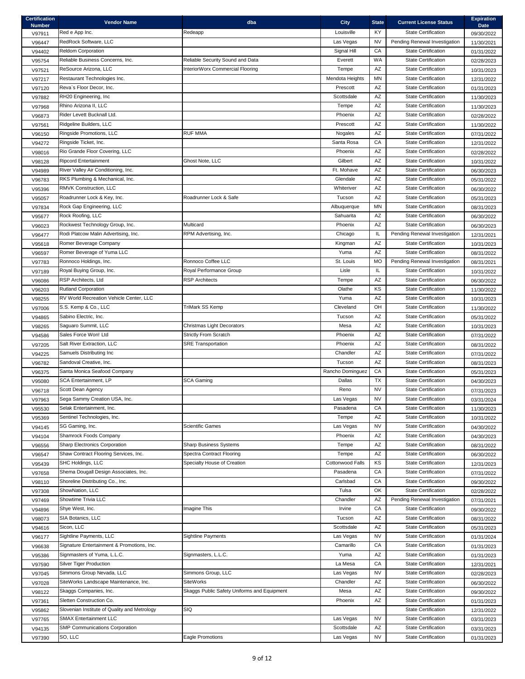| <b>Certification</b><br><b>Number</b> | <b>Vendor Name</b>                           | dba                                         | <b>City</b>             | <b>State</b>           | <b>Current License Status</b> | <b>Expiration</b><br><b>Date</b> |
|---------------------------------------|----------------------------------------------|---------------------------------------------|-------------------------|------------------------|-------------------------------|----------------------------------|
| V97911                                | Red e App Inc.                               | Redeapp                                     | Louisville              | KY.                    | <b>State Certification</b>    | 09/30/2022                       |
| V96447                                | RedRock Software, LLC                        |                                             | Las Vegas               | <b>NV</b>              | Pending Renewal Investigation | 11/30/2021                       |
| V94402                                | Reldom Corporation                           |                                             | Signal Hill             | CA                     | <b>State Certification</b>    | 01/31/2022                       |
| V95754                                | Reliable Business Concerns, Inc.             | Reliable Security Sound and Data            | Everett                 | <b>WA</b>              | <b>State Certification</b>    | 02/28/2023                       |
| V97521                                | ReSource Arizona, LLC                        | InteriorWorx Commercial Flooring            | Tempe                   | AZ                     | <b>State Certification</b>    | 10/31/2023                       |
| V97217                                | Restaurant Technologies Inc.                 |                                             | Mendota Heights         | <b>MN</b>              | <b>State Certification</b>    | 12/31/2022                       |
| V97120                                | Reva's Floor Decor, Inc.                     |                                             | Prescott                | AZ                     | <b>State Certification</b>    | 01/31/2023                       |
| V97882                                | RH20 Engineering, Inc                        |                                             | Scottsdale              | AZ                     | <b>State Certification</b>    | 11/30/2023                       |
| V97968                                | Rhino Arizona II, LLC                        |                                             | Tempe                   | AZ                     | <b>State Certification</b>    | 11/30/2023                       |
| V96873                                | Rider Levett Bucknall Ltd.                   |                                             | Phoenix                 | AZ                     | <b>State Certification</b>    | 02/28/2022                       |
| V97561                                | Ridgeline Builders, LLC                      |                                             | Prescott                | AZ                     | <b>State Certification</b>    | 11/30/2022                       |
| V96150                                | Ringside Promotions, LLC                     | <b>RUF MMA</b>                              | Nogales                 | AZ                     | <b>State Certification</b>    | 07/31/2022                       |
|                                       | Ringside Ticket, Inc.                        |                                             | Santa Rosa              | CA                     | <b>State Certification</b>    |                                  |
| V94272                                | Rio Grande Floor Covering, LLC               |                                             | Phoenix                 | AZ                     | <b>State Certification</b>    | 12/31/2022                       |
| V98016                                | <b>Ripcord Entertainment</b>                 | Ghost Note, LLC                             | Gilbert                 | AZ                     | <b>State Certification</b>    | 02/28/2022                       |
| V98128                                | River Valley Air Conditioning, Inc.          |                                             | Ft. Mohave              | AZ                     | <b>State Certification</b>    | 10/31/2022                       |
| V94989                                |                                              |                                             | Glendale                | AZ                     | <b>State Certification</b>    | 06/30/2023                       |
| V96783                                | RKS Plumbing & Mechanical, Inc.              |                                             |                         |                        |                               | 05/31/2022                       |
| V95396                                | RMVK Construction, LLC                       |                                             | Whiteriver              | AZ                     | <b>State Certification</b>    | 06/30/2022                       |
| V95057                                | Roadrunner Lock & Key, Inc.                  | Roadrunner Lock & Safe                      | Tucson                  | AZ                     | <b>State Certification</b>    | 05/31/2023                       |
| V97834                                | Rock Gap Engineering, LLC                    |                                             | Albuquerque             | ΜN                     | <b>State Certification</b>    | 08/31/2023                       |
| V95677                                | Rock Roofing, LLC                            |                                             | Sahuarita               | AZ                     | <b>State Certification</b>    | 06/30/2022                       |
| V96023                                | Rockwest Technology Group, Inc.              | Multicard                                   | Phoenix                 | AZ                     | <b>State Certification</b>    | 06/30/2023                       |
| V96477                                | Rodi Platcow Malin Advertising, Inc.         | RPM Advertising, Inc.                       | Chicago                 | IL                     | Pending Renewal Investigation | 12/31/2021                       |
| V95618                                | Romer Beverage Company                       |                                             | Kingman                 | AZ                     | <b>State Certification</b>    | 10/31/2023                       |
| V96597                                | Romer Beverage of Yuma LLC                   |                                             | Yuma                    | AZ                     | <b>State Certification</b>    | 08/31/2022                       |
| V97783                                | Ronnoco Holdings, Inc.                       | Ronnoco Coffee LLC                          | St. Louis               | <b>MO</b>              | Pending Renewal Investigation | 08/31/2021                       |
| V97189                                | Royal Buying Group, Inc.                     | Royal Performance Group                     | Lisle                   | IL                     | <b>State Certification</b>    | 10/31/2022                       |
| V96086                                | RSP Architects, Ltd                          | <b>RSP Architects</b>                       | Tempe                   | AZ                     | <b>State Certification</b>    | 06/30/2022                       |
| V96203                                | <b>Rutland Corporation</b>                   |                                             | Olathe                  | KS                     | <b>State Certification</b>    | 11/30/2022                       |
| V98255                                | RV World Recreation Vehicle Center, LLC      |                                             | Yuma                    | AZ                     | <b>State Certification</b>    | 10/31/2023                       |
| V97006                                | S.S. Kemp & Co., LLC                         | <b>TriMark SS Kemp</b>                      | Cleveland               | OH                     | <b>State Certification</b>    | 11/30/2022                       |
| V94865                                | Sabino Electric, Inc.                        |                                             | Tucson                  | AZ                     | <b>State Certification</b>    | 05/31/2022                       |
| V98265                                | Saguaro Summit, LLC                          | Christmas Light Decorators                  | Mesa                    | AZ                     | <b>State Certification</b>    | 10/31/2023                       |
| V94586                                | Sales Force Won! Ltd                         | <b>Strictly From Scratch</b>                | Phoenix                 | AZ                     | <b>State Certification</b>    | 07/31/2022                       |
| V97205                                | Salt River Extraction, LLC                   | <b>SRE Transportation</b>                   | Phoenix                 | AZ                     | <b>State Certification</b>    | 08/31/2022                       |
| V94225                                | Samuels Distributing Inc                     |                                             | Chandler                | AZ                     | <b>State Certification</b>    | 07/31/2022                       |
| V96782                                | Sandoval Creative, Inc.                      |                                             | Tucson                  | AZ                     | <b>State Certification</b>    | 08/31/2023                       |
| V96375                                | Santa Monica Seafood Company                 |                                             | Rancho Dominguez        | CA                     | <b>State Certification</b>    | 05/31/2023                       |
| V95080                                | <b>SCA Entertainment, LP</b>                 | <b>SCA Gaming</b>                           | Dallas                  | <b>TX</b>              | <b>State Certification</b>    | 04/30/2023                       |
| V96718                                | Scott Dean Agency                            |                                             | Reno                    | <b>NV</b>              | <b>State Certification</b>    | 07/31/2023                       |
| V97963                                | Sega Sammy Creation USA, Inc.                |                                             | Las Vegas               | <b>NV</b>              | <b>State Certification</b>    | 03/31/2024                       |
| V95530                                | Selak Entertainment, Inc.                    |                                             | Pasadena                | CA                     | <b>State Certification</b>    | 11/30/2023                       |
| V95369                                | Sentinel Technologies, Inc.                  |                                             | Tempe                   | AZ                     | <b>State Certification</b>    | 10/31/2022                       |
| V94145                                | SG Gaming, Inc.                              | <b>Scientific Games</b>                     | Las Vegas               | <b>NV</b>              | <b>State Certification</b>    | 04/30/2022                       |
| V94104                                | Shamrock Foods Company                       |                                             | Phoenix                 | AZ                     | <b>State Certification</b>    | 04/30/2023                       |
| V96556                                | <b>Sharp Electronics Corporation</b>         | <b>Sharp Business Systems</b>               | Tempe                   | AZ                     | <b>State Certification</b>    | 08/31/2022                       |
| V96547                                | Shaw Contract Flooring Services, Inc.        | <b>Spectra Contract Flooring</b>            | Tempe                   | AZ                     | <b>State Certification</b>    | 06/30/2022                       |
| V95439                                | SHC Holdings, LLC                            | Specialty House of Creation                 | <b>Cottonwood Falls</b> | KS                     | <b>State Certification</b>    | 12/31/2023                       |
| V97658                                | Shema Dougall Design Associates, Inc.        |                                             | Pasadena                | CA                     | <b>State Certification</b>    | 07/31/2022                       |
| V98110                                | Shoreline Distributing Co., Inc.             |                                             | Carlsbad                | CA                     | <b>State Certification</b>    | 09/30/2022                       |
| V97308                                | ShowNation, LLC                              |                                             | Tulsa                   | OK                     | <b>State Certification</b>    | 02/28/2022                       |
| V97469                                | Showtime Trivia LLC                          |                                             | Chandler                | AZ                     | Pending Renewal Investigation | 07/31/2021                       |
| V94896                                | Shye West, Inc.                              | Imagine This                                | Irvine                  | CA                     | <b>State Certification</b>    | 09/30/2022                       |
|                                       | SIA Botanics, LLC                            |                                             | Tucson                  | AZ                     | <b>State Certification</b>    |                                  |
| V98073                                | Sicon. LLC                                   |                                             | Scottsdale              | AZ                     | <b>State Certification</b>    | 08/31/2022<br>05/31/2023         |
| V94616                                | Sightline Payments, LLC                      | <b>Sightline Payments</b>                   | Las Vegas               | <b>NV</b>              | <b>State Certification</b>    |                                  |
| V96177                                | Signature Entertainment & Promotions, Inc.   |                                             | Camarillo               | CA                     | <b>State Certification</b>    | 01/31/2024                       |
| V96638                                | Signmasters of Yuma, L.L.C.                  |                                             |                         | AZ                     | <b>State Certification</b>    | 01/31/2023                       |
| V95386                                |                                              | Signmasters, L.L.C.                         | Yuma<br>La Mesa         |                        |                               | 01/31/2023                       |
| V97590                                | <b>Silver Tiger Production</b>               |                                             |                         | CA                     | <b>State Certification</b>    | 12/31/2021                       |
| V97045                                | Simmons Group Nevada, LLC                    | Simmons Group, LLC                          | Las Vegas               | <b>NV</b>              | <b>State Certification</b>    | 02/28/2023                       |
| V97028                                | SiteWorks Landscape Maintenance, Inc.        | <b>SiteWorks</b>                            | Chandler                | AZ                     | <b>State Certification</b>    | 06/30/2022                       |
| V98122                                | Skaggs Companies, Inc.                       | Skaggs Public Safety Uniforms and Equipment | Mesa                    | $\mathsf{A}\mathsf{Z}$ | <b>State Certification</b>    | 09/30/2022                       |
| V97361                                | Sletten Construction Co.                     |                                             | Phoenix                 | AZ                     | <b>State Certification</b>    | 01/31/2023                       |
| V95862                                | Slovenian Institute of Quality and Metrology | SIQ                                         |                         |                        | <b>State Certification</b>    | 12/31/2022                       |
| V97765                                | <b>SMAX Entertainment LLC</b>                |                                             | Las Vegas               | <b>NV</b>              | <b>State Certification</b>    | 03/31/2023                       |
| V94135                                | <b>SMP Communications Corporation</b>        |                                             | Scottsdale              | AZ                     | <b>State Certification</b>    | 03/31/2023                       |
| V97390                                | SO, LLC                                      | Eagle Promotions                            | Las Vegas               | <b>NV</b>              | <b>State Certification</b>    | 01/31/2023                       |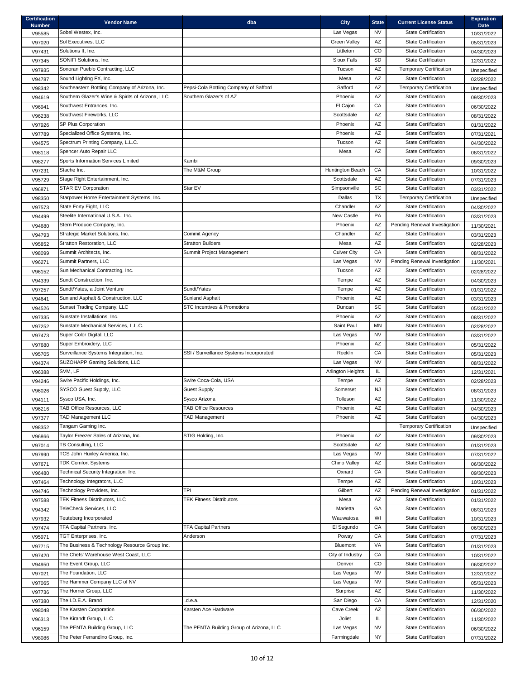| <b>Certification</b><br><b>Number</b> | <b>Vendor Name</b>                                              | dba                                      | <b>City</b>         | <b>State</b> | <b>Current License Status</b>                            | <b>Expiration</b><br><b>Date</b> |
|---------------------------------------|-----------------------------------------------------------------|------------------------------------------|---------------------|--------------|----------------------------------------------------------|----------------------------------|
| V95585                                | Sobel Westex, Inc.                                              |                                          | Las Vegas           | NV.          | <b>State Certification</b>                               | 10/31/2022                       |
| V97020                                | Sol Executives, LLC                                             |                                          | <b>Green Valley</b> | AZ           | <b>State Certification</b>                               | 05/31/2023                       |
| V97431                                | Solutions II, Inc.                                              |                                          | Littleton           | CO           | <b>State Certification</b>                               | 04/30/2023                       |
| V97345                                | SONIFI Solutions, Inc.                                          |                                          | Sioux Falls         | <b>SD</b>    | <b>State Certification</b>                               | 12/31/2022                       |
| V97935                                | Sonoran Pueblo Contracting, LLC                                 |                                          | Tucson              | AZ           | <b>Temporary Certification</b>                           | Unspecified                      |
| V94787                                | Sound Lighting FX, Inc.                                         |                                          | Mesa                | AZ           | <b>State Certification</b>                               | 02/28/2022                       |
| V98342                                | Southeastern Bottling Company of Arizona, Inc.                  | Pepsi-Cola Bottling Company of Safford   | Safford             | AZ           | <b>Temporary Certification</b>                           | Unspecified                      |
| V94619                                | Southern Glazer's Wine & Spirits of Arizona, LLC                | Southern Glazer's of AZ                  | Phoenix             | AZ           | <b>State Certification</b>                               | 09/30/2023                       |
| V96941                                | Southwest Entrances, Inc.                                       |                                          | El Cajon            | CA           | <b>State Certification</b>                               | 06/30/2022                       |
| V96238                                | Southwest Fireworks, LLC                                        |                                          | Scottsdale          | AZ           | <b>State Certification</b>                               | 08/31/2022                       |
| V97926                                | SP Plus Corporation                                             |                                          | Phoenix             | AZ           | <b>State Certification</b>                               | 01/31/2022                       |
| V97789                                | Specialized Office Systems, Inc.                                |                                          | Phoenix             | AZ           | <b>State Certification</b>                               | 07/31/2021                       |
| V94575                                | Spectrum Printing Company, L.L.C.                               |                                          | Tucson              | AZ           | <b>State Certification</b>                               | 04/30/2022                       |
| V98118                                | Spencer Auto Repair LLC                                         |                                          | Mesa                | AZ           | <b>State Certification</b>                               | 08/31/2022                       |
| V98277                                | Sports Information Services Limited                             | Kambi                                    |                     |              | <b>State Certification</b>                               | 09/30/2023                       |
| V97231                                | Stache Inc.                                                     | The M&M Group                            | Huntington Beach    | CA           | <b>State Certification</b>                               | 10/31/2022                       |
| V95729                                | Stage Right Entertainment, Inc.                                 |                                          | Scottsdale          | AZ           | <b>State Certification</b>                               | 07/31/2023                       |
| V96871                                | <b>STAR EV Corporation</b>                                      | Star EV                                  | Simpsonville        | SC           | <b>State Certification</b>                               | 03/31/2022                       |
| V98350                                | Starpower Home Entertainment Systems, Inc.                      |                                          | Dallas              | <b>TX</b>    | <b>Temporary Certification</b>                           |                                  |
|                                       | State Forty Eight, LLC                                          |                                          | Chandler            | AZ           | <b>State Certification</b>                               | Unspecified                      |
| V97573                                | Steelite International U.S.A., Inc.                             |                                          | New Castle          | <b>PA</b>    | <b>State Certification</b>                               | 04/30/2022                       |
| V94499                                |                                                                 |                                          |                     |              | Pending Renewal Investigation                            | 03/31/2023                       |
| V94680                                | Stern Produce Company, Inc.<br>Strategic Market Solutions, Inc. | Commit Agency                            | Phoenix<br>Chandler | AΖ<br>AZ     | <b>State Certification</b>                               | 11/30/2021                       |
| V94793                                |                                                                 | <b>Stratton Builders</b>                 |                     | AZ           | <b>State Certification</b>                               | 03/31/2023                       |
| V95852                                | Stratton Restoration, LLC                                       |                                          | Mesa                |              |                                                          | 02/28/2023                       |
| V98099                                | Summit Architects, Inc.                                         | Summit Project Management                | <b>Culver City</b>  | CA           | <b>State Certification</b>                               | 08/31/2022                       |
| V96271                                | Summit Partners, LLC                                            |                                          | Las Vegas           | <b>NV</b>    | Pending Renewal Investigation                            | 11/30/2021                       |
| V96152                                | Sun Mechanical Contracting, Inc.                                |                                          | Tucson              | AZ           | <b>State Certification</b>                               | 02/28/2022                       |
| V94339                                | Sundt Construction, Inc.                                        |                                          | Tempe               | AZ           | <b>State Certification</b>                               | 04/30/2023                       |
| V97257                                | Sundt/Yates, a Joint Venture                                    | Sundt/Yates                              | Tempe               | AZ           | <b>State Certification</b>                               | 01/31/2022                       |
| V94641                                | Sunland Asphalt & Construction, LLC                             | <b>Sunland Asphalt</b>                   | Phoenix             | AZ           | <b>State Certification</b>                               | 03/31/2023                       |
| V94526                                | Sunset Trading Company, LLC                                     | <b>STC Incentives &amp; Promotions</b>   | Duncan              | <b>SC</b>    | <b>State Certification</b>                               | 05/31/2022                       |
| V97335                                | Sunstate Installations, Inc.                                    |                                          | Phoenix             | AZ           | <b>State Certification</b>                               | 08/31/2022                       |
| V97252                                | Sunstate Mechanical Services, L.L.C.                            |                                          | Saint Paul          | <b>MN</b>    | <b>State Certification</b>                               | 02/28/2022                       |
| V97473                                | Super Color Digital, LLC                                        |                                          | Las Vegas           | <b>NV</b>    | <b>State Certification</b>                               | 03/31/2022                       |
| V97680                                | Super Embroidery, LLC                                           |                                          | Phoenix             | AZ           | <b>State Certification</b>                               | 05/31/2022                       |
| V95705                                | Surveillance Systems Integration, Inc.                          | SSI / Surveillance Systems Incorporated  | Rocklin             | CA           | <b>State Certification</b>                               | 05/31/2023                       |
| V94374                                | SUZOHAPP Gaming Solutions, LLC                                  |                                          | Las Vegas           | <b>NV</b>    | <b>State Certification</b>                               | 08/31/2022                       |
| V96388                                | SVM, LP                                                         |                                          | Arlington Heights   | IL.          | <b>State Certification</b>                               | 12/31/2021                       |
| V94246                                | Swire Pacific Holdings, Inc.                                    | Swire Coca-Cola, USA                     | Tempe               | AZ           | <b>State Certification</b>                               | 02/28/2023                       |
| V96026                                | SYSCO Guest Supply, LLC                                         | <b>Guest Supply</b>                      | Somerset            | <b>NJ</b>    | <b>State Certification</b>                               | 08/31/2023                       |
| V94111                                | Sysco USA, Inc.                                                 | Sysco Arizona                            | Tolleson            | AZ           | <b>State Certification</b>                               | 11/30/2022                       |
| V96216                                | TAB Office Resources, LLC                                       | <b>TAB Office Resources</b>              | Phoenix             | AZ           | <b>State Certification</b>                               | 04/30/2023                       |
| V97377                                | <b>TAD Management LLC</b>                                       | <b>TAD Management</b>                    | Phoenix             | AZ           | <b>State Certification</b>                               | 04/30/2023                       |
| V98352                                | Tangam Gaming Inc.                                              |                                          |                     |              | <b>Temporary Certification</b>                           | Unspecified                      |
| V96866                                | Taylor Freezer Sales of Arizona, Inc.                           | STIG Holding, Inc.                       | Phoenix             | AZ           | <b>State Certification</b>                               | 09/30/2023                       |
| V97014                                | TB Consulting, LLC                                              |                                          | Scottsdale          | AZ           | <b>State Certification</b>                               | 01/31/2023                       |
| V97990                                | TCS John Huxley America, Inc.                                   |                                          | Las Vegas           | <b>NV</b>    | <b>State Certification</b>                               | 07/31/2022                       |
| V97671                                | <b>TDK Comfort Systems</b>                                      |                                          | Chino Valley        | AZ           | <b>State Certification</b>                               | 06/30/2022                       |
| V96480                                | Technical Security Integration, Inc.                            |                                          | Oxnard              | CA<br>AZ     | <b>State Certification</b><br><b>State Certification</b> | 09/30/2023                       |
| V97464                                | Technology Integrators, LLC                                     |                                          | Tempe               |              |                                                          | 10/31/2023                       |
| V94746                                | Technology Providers, Inc.                                      | TPI                                      | Gilbert             | AZ           | Pending Renewal Investigation                            | 01/31/2022                       |
| V97588                                | TEK Fitness Distributors, LLC                                   | <b>TEK Fitness Distributors</b>          | Mesa                | AZ           | <b>State Certification</b>                               | 01/31/2022                       |
| V94342                                | TeleCheck Services, LLC                                         |                                          | Marietta            | GA           | <b>State Certification</b>                               | 08/31/2023                       |
| V97932                                | Teuteberg Incorporated                                          |                                          | Wauwatosa           | WI           | <b>State Certification</b>                               | 10/31/2023                       |
| V97474                                | TFA Capital Partners, Inc.                                      | <b>TFA Capital Partners</b>              | El Segundo          | CA           | <b>State Certification</b>                               | 06/30/2023                       |
| V95971                                | TGT Enterprises, Inc.                                           | Anderson                                 | Poway               | CA           | <b>State Certification</b>                               | 07/31/2023                       |
| V97715                                | The Business & Technology Resource Group Inc.                   |                                          | Bluemont            | <b>VA</b>    | <b>State Certification</b>                               | 01/31/2023                       |
| V97420                                | The Chefs' Warehouse West Coast, LLC                            |                                          | City of Industry    | CA           | <b>State Certification</b>                               | 10/31/2022                       |
| V94950                                | The Event Group, LLC                                            |                                          | Denver              | CO           | <b>State Certification</b>                               | 06/30/2022                       |
| V97021                                | The Foundation, LLC                                             |                                          | Las Vegas           | <b>NV</b>    | <b>State Certification</b>                               | 12/31/2022                       |
| V97065                                | The Hammer Company LLC of NV                                    |                                          | Las Vegas           | <b>NV</b>    | <b>State Certification</b>                               | 05/31/2023                       |
| V97736                                | The Horner Group, LLC                                           |                                          | Surprise            | AZ           | <b>State Certification</b>                               | 11/30/2022                       |
| V97380                                | The I.D.E.A. Brand                                              | i.d.e.a.                                 | San Diego           | CA           | <b>State Certification</b>                               | 12/31/2020                       |
| V98048                                | The Karsten Corporation                                         | Karsten Ace Hardware                     | Cave Creek          | AZ           | <b>State Certification</b>                               | 06/30/2022                       |
| V96313                                | The Kirandt Group, LLC                                          |                                          | Joliet              | IL.          | <b>State Certification</b>                               | 11/30/2022                       |
| V96159                                | The PENTA Building Group, LLC                                   | The PENTA Building Group of Arizona, LLC | Las Vegas           | <b>NV</b>    | <b>State Certification</b>                               | 06/30/2022                       |
| V98086                                | The Peter Ferrandino Group, Inc.                                |                                          | Farmingdale         | <b>NY</b>    | <b>State Certification</b>                               | 07/31/2022                       |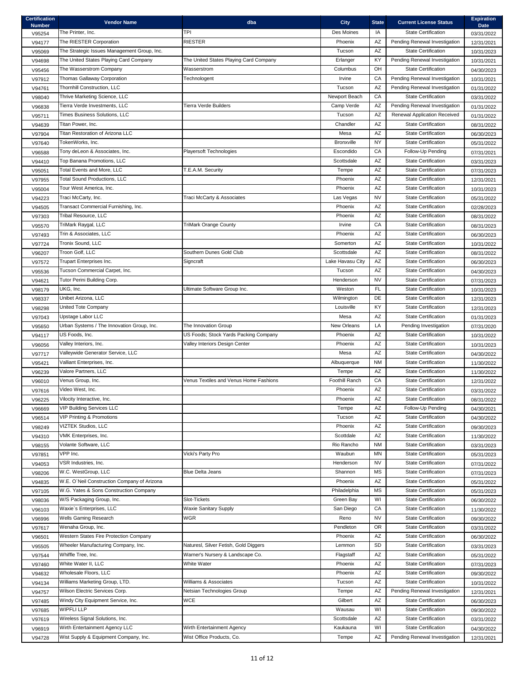| <b>Certification</b><br><b>Number</b> | <b>Vendor Name</b>                          | dba                                    | <b>City</b>           | <b>State</b> | <b>Current License Status</b>       | <b>Expiration</b><br><b>Date</b> |
|---------------------------------------|---------------------------------------------|----------------------------------------|-----------------------|--------------|-------------------------------------|----------------------------------|
| V95254                                | The Printer, Inc.                           | TPI                                    | Des Moines            | IA           | <b>State Certification</b>          | 03/31/2022                       |
| V94177                                | The RIESTER Corporation                     | <b>RIESTER</b>                         | Phoenix               | AZ           | Pending Renewal Investigation       | 12/31/2021                       |
| V95069                                | The Strategic Issues Management Group, Inc. |                                        | Tucson                | AZ           | <b>State Certification</b>          | 10/31/2023                       |
| V94698                                | The United States Playing Card Company      | The United States Playing Card Company | Erlanger              | KY           | Pending Renewal Investigation       | 10/31/2021                       |
| V95456                                | The Wasserstrom Company                     | Wasserstrom                            | Columbus              | OH           | <b>State Certification</b>          | 04/30/2023                       |
| V97912                                | Thomas Gallaway Corporation                 | Technologent                           | Irvine                | СA           | Pending Renewal Investigation       | 10/31/2021                       |
| V94761                                | Thornhill Construction, LLC                 |                                        | Tucson                | <b>AZ</b>    | Pending Renewal Investigation       | 01/31/2022                       |
| V98040                                | Thrive Marketing Science, LLC               |                                        | Newport Beach         | CA           | <b>State Certification</b>          | 03/31/2022                       |
| V96838                                | Tierra Verde Investments, LLC               | Tierra Verde Builders                  | Camp Verde            | AZ           | Pending Renewal Investigation       | 01/31/2022                       |
| V95711                                | Times Business Solutions, LLC               |                                        | Tucson                | AZ           | <b>Renewal Application Received</b> | 01/31/2022                       |
| V94639                                | Titan Power, Inc.                           |                                        | Chandler              | AZ           | <b>State Certification</b>          | 08/31/2022                       |
| V97904                                | Titan Restoration of Arizona LLC            |                                        | Mesa                  | AZ           | <b>State Certification</b>          | 06/30/2023                       |
| V97640                                | TokenWorks, Inc.                            |                                        | <b>Bronxville</b>     | <b>NY</b>    | <b>State Certification</b>          | 05/31/2022                       |
| V96588                                | Tony deLeon & Associates, Inc.              | <b>Playersoft Technologies</b>         | Escondido             | CA           | Follow-Up Pending                   | 07/31/2021                       |
| V94410                                | Top Banana Promotions, LLC                  |                                        | Scottsdale            | AZ           | <b>State Certification</b>          | 03/31/2023                       |
| V95051                                | Total Events and More, LLC                  | T.E.A.M. Security                      | Tempe                 | AZ           | <b>State Certification</b>          | 07/31/2023                       |
| V97955                                | <b>Total Sound Productions, LLC</b>         |                                        | Phoenix               | AZ           | <b>State Certification</b>          | 12/31/2021                       |
| V95004                                | Tour West America, Inc.                     |                                        | Phoenix               | AZ           | <b>State Certification</b>          | 10/31/2023                       |
| V94223                                | Traci McCarty, Inc.                         | Traci McCarty & Associates             | Las Vegas             | <b>NV</b>    | <b>State Certification</b>          | 05/31/2022                       |
| V94505                                | Transact Commercial Furnishing, Inc.        |                                        | Phoenix               | AZ           | <b>State Certification</b>          | 02/28/2023                       |
| V97303                                | <b>Tribal Resource, LLC</b>                 |                                        | Phoenix               | AZ           | <b>State Certification</b>          | 08/31/2022                       |
| V95570                                | TriMark Raygal, LLC                         | <b>TriMark Orange County</b>           | Irvine                | CA           | <b>State Certification</b>          | 08/31/2023                       |
| V97493                                | Trin & Associates, LLC                      |                                        | Phoenix               | AZ           | <b>State Certification</b>          | 06/30/2023                       |
| V97724                                | Tronix Sound, LLC                           |                                        | Somerton              | AZ           | <b>State Certification</b>          | 10/31/2022                       |
| V96207                                | Troon Golf, LLC                             | Southern Dunes Gold Club               | Scottsdale            | AZ           | <b>State Certification</b>          | 08/31/2022                       |
| V97572                                | Trupart Enterprises Inc.                    | Signcraft                              | Lake Havasu City      | AZ           | <b>State Certification</b>          | 06/30/2023                       |
| V95536                                | Tucson Commercial Carpet, Inc.              |                                        | Tucson                | AZ           | <b>State Certification</b>          | 04/30/2023                       |
| V94621                                | Tutor Perini Building Corp.                 |                                        | Henderson             | <b>NV</b>    | <b>State Certification</b>          | 07/31/2023                       |
| V98179                                | UKG, Inc.                                   | Ultimate Software Group Inc.           | Weston                | <b>FL</b>    | <b>State Certification</b>          | 10/31/2023                       |
| V98337                                | Unibet Arizona, LLC                         |                                        | Wilmington            | DE           | <b>State Certification</b>          | 12/31/2023                       |
| V98298                                | <b>United Tote Company</b>                  |                                        | Louisville            | KY.          | <b>State Certification</b>          | 12/31/2023                       |
| V97043                                | Upstage Labor LLC                           |                                        | Mesa                  | AZ           | <b>State Certification</b>          | 01/31/2023                       |
| V95650                                | Urban Systems / The Innovation Group, Inc.  | The Innovation Group                   | New Orleans           | LA           | Pending Investigation               | 07/31/2020                       |
| V94117                                | US Foods, Inc.                              | US Foods; Stock Yards Packing Company  | Phoenix               | AZ           | <b>State Certification</b>          | 10/31/2022                       |
| V96056                                | Valley Interiors, Inc.                      | Valley Interiors Design Center         | Phoenix               | AZ           | <b>State Certification</b>          | 10/31/2023                       |
| V97717                                | Valleywide Generator Service, LLC           |                                        | Mesa                  | AZ           | <b>State Certification</b>          | 04/30/2022                       |
| V95421                                | Valliant Enterprises, Inc.                  |                                        | Albuquerque           | <b>NM</b>    | <b>State Certification</b>          | 11/30/2022                       |
| V96239                                | Valore Partners, LLC                        |                                        | Tempe                 | AZ           | <b>State Certification</b>          | 11/30/2022                       |
| V96010                                | Venus Group, Inc.                           | Venus Textiles and Venus Home Fashions | <b>Foothill Ranch</b> | CA           | <b>State Certification</b>          | 12/31/2022                       |
| V97616                                | Video West, Inc.                            |                                        | Phoenix               | AZ           | <b>State Certification</b>          | 03/31/2022                       |
| V96225                                | Vilocity Interactive, Inc.                  |                                        | Phoenix               | AZ           | <b>State Certification</b>          | 08/31/2022                       |
| V96669                                | <b>VIP Building Services LLC</b>            |                                        | Tempe                 | AZ           | Follow-Up Pending                   | 04/30/2021                       |
| V96514                                | <b>VIP Printing &amp; Promotions</b>        |                                        | Tucson                | AZ           | <b>State Certification</b>          | 04/30/2022                       |
| V98249                                | VIZTEK Studios, LLC                         |                                        | Phoenix               | AZ           | <b>State Certification</b>          | 09/30/2023                       |
| V94310                                | VMK Enterprises, Inc.                       |                                        | Scottdale             | AZ           | <b>State Certification</b>          | 11/30/2022                       |
| V98155                                | Volante Software, LLC                       |                                        | Rio Rancho            | <b>NM</b>    | <b>State Certification</b>          | 03/31/2023                       |
| V97851                                | VPP Inc.                                    | Vicki's Party Pro                      | Waubun                | MN           | <b>State Certification</b>          | 05/31/2023                       |
| V94053                                | VSR Industries, Inc.                        |                                        | Henderson             | <b>NV</b>    | <b>State Certification</b>          | 07/31/2022                       |
| V98206                                | W.C. WestGroup, LLC                         | <b>Blue Delta Jeans</b>                | Shannon               | <b>MS</b>    | <b>State Certification</b>          | 07/31/2023                       |
| V94835                                | W.E. O'Neil Construction Company of Arizona |                                        | Phoenix               | AZ           | <b>State Certification</b>          | 05/31/2022                       |
| V97105                                | W.G. Yates & Sons Construction Company      |                                        | Philadelphia          | <b>MS</b>    | <b>State Certification</b>          | 05/31/2023                       |
| V98036                                | W/S Packaging Group, Inc.                   | Slot-Tickets                           | Green Bay             | WI           | <b>State Certification</b>          | 06/30/2022                       |
| V96103                                | Waxie's Enterprises, LLC                    | <b>Waxie Sanitary Supply</b>           | San Diego             | СA           | <b>State Certification</b>          | 11/30/2022                       |
| V96996                                | Wells Gaming Research                       | WGR                                    | Reno                  | <b>NV</b>    | <b>State Certification</b>          | 09/30/2022                       |
| V97617                                | Wenaha Group, Inc.                          |                                        | Pendleton             | <b>OR</b>    | <b>State Certification</b>          | 03/31/2022                       |
| V96501                                | Western States Fire Protection Company      |                                        | Phoenix               | AZ           | <b>State Certification</b>          | 06/30/2022                       |
| V95505                                | Wheeler Manufacturing Company, Inc.         | Naturesl, Silver Fetish, Gold Diggers  | Lemmon                | <b>SD</b>    | <b>State Certification</b>          | 03/31/2023                       |
| V97544                                | Whiffle Tree, Inc.                          | Warner's Nursery & Landscape Co.       | Flagstaff             | AZ           | <b>State Certification</b>          | 05/31/2022                       |
| V97460                                | White Water II, LLC                         | <b>White Water</b>                     | Phoenix               | AZ           | <b>State Certification</b>          | 07/31/2023                       |
| V94632                                | Wholesale Floors, LLC                       |                                        | Phoenix               | AZ           | <b>State Certification</b>          | 09/30/2022                       |
| V94134                                | Williams Marketing Group, LTD.              | Williams & Associates                  | Tucson                | AZ           | <b>State Certification</b>          | 10/31/2022                       |
| V94757                                | Wilson Electric Services Corp.              | Netsian Technologies Group             | Tempe                 | AZ           | Pending Renewal Investigation       | 12/31/2021                       |
| V97485                                | Windy City Equipment Service, Inc.          | <b>WCE</b>                             | Gilbert               | AZ           | <b>State Certification</b>          | 06/30/2023                       |
| V97685                                | <b>WIPFLI LLP</b>                           |                                        | Wausau                | WI           | <b>State Certification</b>          | 09/30/2022                       |
| V97619                                | Wireless Signal Solutions, Inc.             |                                        | Scottsdale            | AZ           | <b>State Certification</b>          | 03/31/2022                       |
| V96919                                | Wirth Entertainment Agency LLC              | Wirth Entertainment Agency             | Kaukauna              | WI           | <b>State Certification</b>          | 04/30/2022                       |
| V94728                                | Wist Supply & Equipment Company, Inc.       | Wist Office Products, Co.              | Tempe                 | AZ           | Pending Renewal Investigation       | 12/31/2021                       |